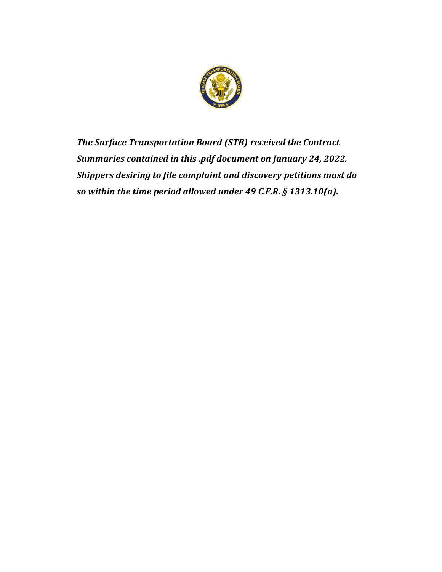

*The Surface Transportation Board (STB) received the Contract Summaries contained in this .pdf document on January 24, 2022. Shippers desiring to file complaint and discovery petitions must do so within the time period allowed under 49 C.F.R. § 1313.10(a).*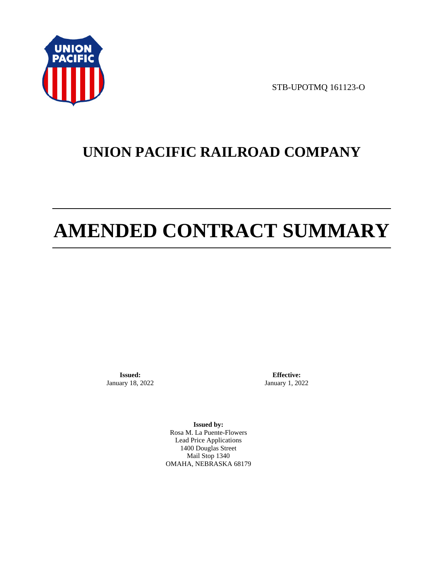

STB-UPOTMQ 161123-O

# **UNION PACIFIC RAILROAD COMPANY**

# **AMENDED CONTRACT SUMMARY**

**Issued:**  January 18, 2022

**Effective:** January 1, 2022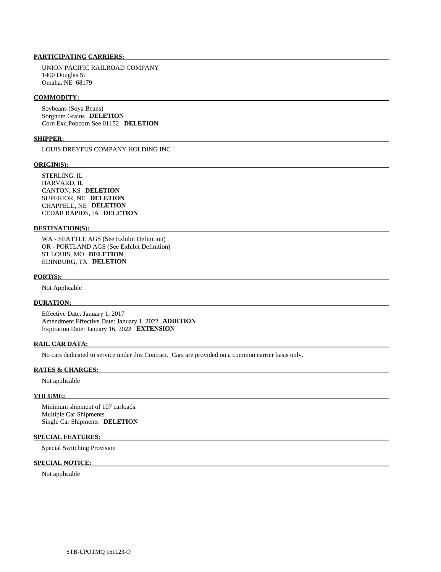UNION PACIFIC RAILROAD COMPANY 1400 Douglas St. Omaha, NE 68179

#### **COMMODITY:**

 Soybeans (Soya Beans) Sorghum Grains **DELETION**  Corn Exc.Popcorn See 01152 **DELETION** 

#### **SHIPPER:**

LOUIS DREYFUS COMPANY HOLDING INC

#### **ORIGIN(S):**

 STERLING, IL HARVARD, IL CANTON, KS **DELETION**  SUPERIOR, NE **DELETION**  CHAPPELL, NE **DELETION**  CEDAR RAPIDS, IA **DELETION** 

#### **DESTINATION(S):**

 WA - SEATTLE AGS (See Exhibit Definition) OR - PORTLAND AGS (See Exhibit Definition) ST LOUIS, MO **DELETION**  EDINBURG, TX **DELETION** 

#### **PORT(S):**

Not Applicable

#### **DURATION:**

 Effective Date: January 1, 2017 Amendment Effective Date: January 1, 2022 **ADDITION**  Expiration Date: January 16, 2022 **EXTENSION** 

### **RAIL CAR DATA:**

No cars dedicated to service under this Contract. Cars are provided on a common carrier basis only.

#### **RATES & CHARGES:**

Not applicable

#### **VOLUME:**

 Minimum shipment of 107 carloads. Multiple Car Shipments Single Car Shipments **DELETION** 

## **SPECIAL FEATURES:**

Special Switching Provision

#### **SPECIAL NOTICE:**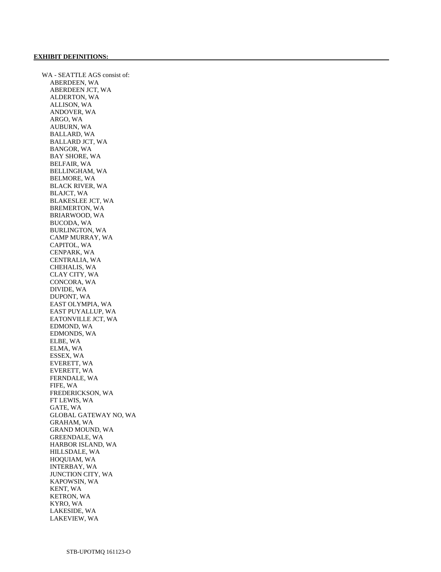WA - SEATTLE AGS consist of: ABERDEEN, WA ABERDEEN JCT, WA ALDERTON, WA ALLISON, WA ANDOVER, WA ARGO, WA AUBURN, WA BALLARD, WA BALLARD JCT, WA BANGOR, WA BAY SHORE, WA BELFAIR, WA BELLINGHAM, WA BELMORE, WA BLACK RIVER, WA BLAJCT, WA BLAKESLEE JCT, WA BREMERTON, WA BRIARWOOD, WA BUCODA, WA BURLINGTON, WA CAMP MURRAY, WA CAPITOL, WA CENPARK, WA CENTRALIA, WA CHEHALIS, WA CLAY CITY, WA CONCORA, WA DIVIDE, WA DUPONT, WA EAST OLYMPIA, WA EAST PUYALLUP, WA EATONVILLE JCT, WA EDMOND, WA EDMONDS, WA ELBE, WA ELMA, WA ESSEX, WA EVERETT, WA EVERETT, WA FERNDALE, WA FIFE, WA FREDERICKSON, WA FT LEWIS, WA GATE, WA GLOBAL GATEWAY NO, WA GRAHAM, WA GRAND MOUND, WA GREENDALE, WA HARBOR ISLAND, WA HILLSDALE, WA HOQUIAM, WA INTERBAY, WA JUNCTION CITY, WA KAPOWSIN, WA KENT, WA KETRON, WA KYRO, WA LAKESIDE, WA LAKEVIEW, WA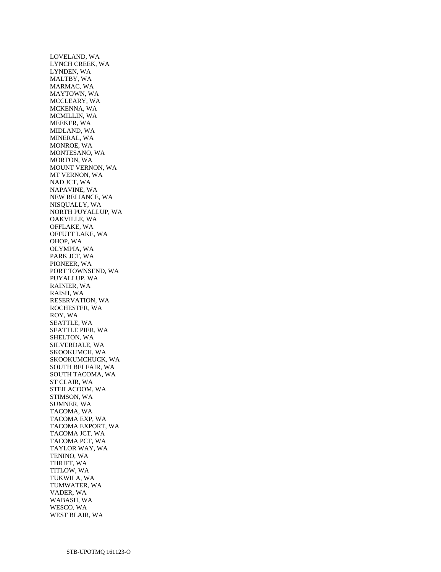LOVELAND, WA LYNCH CREEK, WA LYNDEN, WA MALTBY, WA MARMAC, WA MAYTOWN, WA MCCLEARY, WA MCKENNA, WA MCMILLIN, WA MEEKER, WA MIDLAND, WA MINERAL, WA MONROE, WA MONTESANO, WA MORTON, WA MOUNT VERNON, WA MT VERNON, WA NAD JCT, WA NAPAVINE, WA NEW RELIANCE, WA NISQUALLY, WA NORTH PUYALLUP, WA OAKVILLE, WA OFFLAKE, WA OFFUTT LAKE, WA OHOP, WA OLYMPIA, WA PARK JCT, WA PIONEER, WA PORT TOWNSEND, WA PUYALLUP, WA RAINIER, WA RAISH, WA RESERVATION, WA ROCHESTER, WA ROY, WA SEATTLE, WA SEATTLE PIER, WA SHELTON, WA SILVERDALE, WA SKOOKUMCH, WA SKOOKUMCHUCK, WA SOUTH BELFAIR, WA SOUTH TACOMA, WA ST CLAIR, WA STEILACOOM, WA STIMSON, WA SUMNER, WA TACOMA, WA TACOMA EXP, WA TACOMA EXPORT, WA TACOMA JCT, WA TACOMA PCT, WA TAYLOR WAY, WA TENINO, WA THRIFT, WA TITLOW, WA TUKWILA, WA TUMWATER, WA VADER, WA WABASH, WA WESCO, WA WEST BLAIR, WA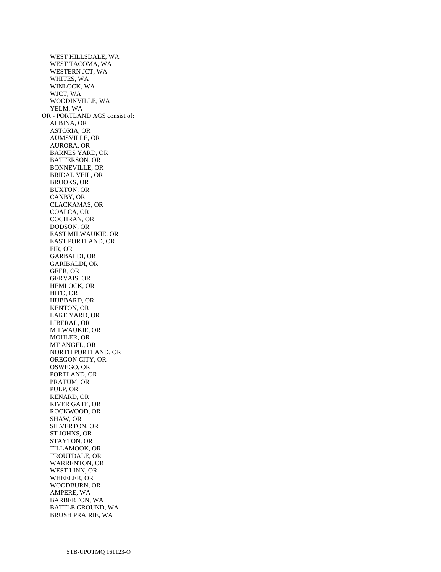WEST HILLSDALE, WA WEST TACOMA, WA WESTERN JCT, WA WHITES, WA WINLOCK, WA WJCT, WA WOODINVILLE, WA YELM, WA OR - PORTLAND AGS consist of: ALBINA, OR ASTORIA, OR AUMSVILLE, OR AURORA, OR BARNES YARD, OR BATTERSON, OR BONNEVILLE, OR BRIDAL VEIL, OR BROOKS, OR BUXTON, OR CANBY, OR CLACKAMAS, OR COALCA, OR COCHRAN, OR DODSON, OR EAST MILWAUKIE, OR EAST PORTLAND, OR FIR, OR GARBALDI, OR GARIBALDI, OR GEER, OR GERVAIS, OR HEMLOCK, OR HITO, OR HUBBARD, OR KENTON, OR LAKE YARD, OR LIBERAL, OR MILWAUKIE, OR MOHLER, OR MT ANGEL, OR NORTH PORTLAND, OR OREGON CITY, OR OSWEGO, OR PORTLAND, OR PRATUM, OR PULP, OR RENARD, OR RIVER GATE, OR ROCKWOOD, OR SHAW, OR SILVERTON, OR ST JOHNS, OR STAYTON, OR TILLAMOOK, OR TROUTDALE, OR WARRENTON, OR WEST LINN, OR WHEELER, OR WOODBURN, OR AMPERE, WA BARBERTON, WA BATTLE GROUND, WA BRUSH PRAIRIE, WA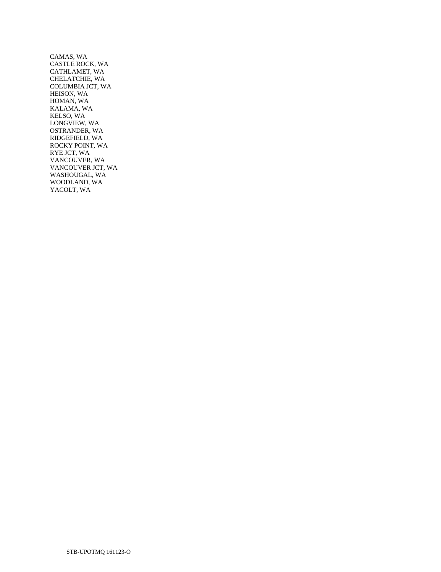CAMAS, WA CASTLE ROCK, WA CATHLAMET, WA CHELATCHIE, WA COLUMBIA JCT, WA HEISON, WA HOMAN, WA KALAMA, WA KELSO, WA LONGVIEW, WA OSTRANDER, WA RIDGEFIELD, WA ROCKY POINT, WA RYE JCT, WA VANCOUVER, WA VANCOUVER JCT, WA WASHOUGAL, WA WOODLAND, WA YACOLT, WA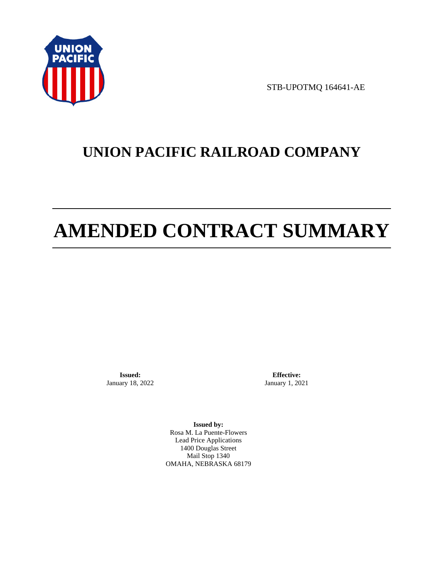

STB-UPOTMQ 164641-AE

# **UNION PACIFIC RAILROAD COMPANY**

# **AMENDED CONTRACT SUMMARY**

**Issued:**  January 18, 2022

**Effective:** January 1, 2021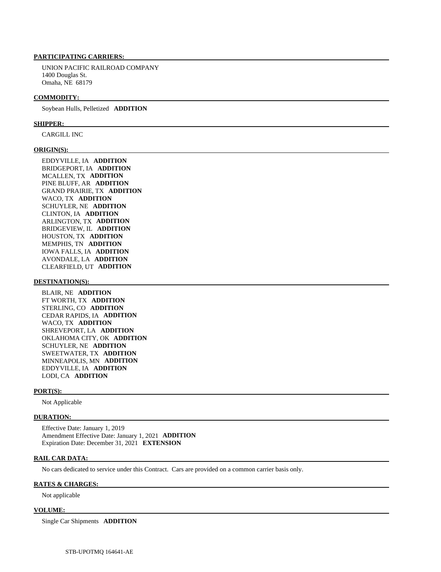UNION PACIFIC RAILROAD COMPANY 1400 Douglas St. Omaha, NE 68179

#### **COMMODITY:**

Soybean Hulls, Pelletized **ADDITION** 

#### **SHIPPER:**

CARGILL INC

#### **ORIGIN(S):**

 EDDYVILLE, IA **ADDITION**  BRIDGEPORT, IA **ADDITION**  MCALLEN, TX **ADDITION**  PINE BLUFF, AR **ADDITION**  GRAND PRAIRIE, TX **ADDITION**  WACO, TX **ADDITION**  SCHUYLER, NE **ADDITION**  CLINTON, IA **ADDITION**  ARLINGTON, TX **ADDITION**  BRIDGEVIEW, IL **ADDITION**  HOUSTON, TX **ADDITION**  MEMPHIS, TN **ADDITION**  IOWA FALLS, IA **ADDITION**  AVONDALE, LA **ADDITION**  CLEARFIELD, UT **ADDITION** 

#### **DESTINATION(S):**

 BLAIR, NE **ADDITION**  FT WORTH, TX **ADDITION**  STERLING, CO **ADDITION**  CEDAR RAPIDS, IA **ADDITION**  WACO, TX **ADDITION**  SHREVEPORT, LA **ADDITION**  OKLAHOMA CITY, OK **ADDITION**  SCHUYLER, NE **ADDITION**  SWEETWATER, TX **ADDITION**  MINNEAPOLIS, MN **ADDITION**  EDDYVILLE, IA **ADDITION**  LODI, CA **ADDITION** 

#### **PORT(S):**

Not Applicable

#### **DURATION:**

 Effective Date: January 1, 2019 Amendment Effective Date: January 1, 2021 **ADDITION**  Expiration Date: December 31, 2021 **EXTENSION** 

#### **RAIL CAR DATA:**

No cars dedicated to service under this Contract. Cars are provided on a common carrier basis only.

#### **RATES & CHARGES:**

Not applicable

#### **VOLUME:**

Single Car Shipments **ADDITION**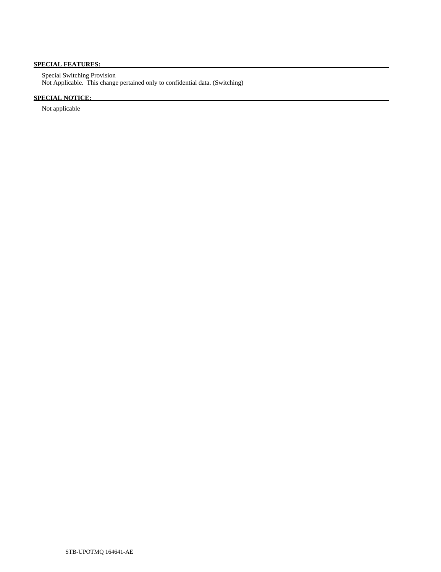# **SPECIAL FEATURES:**

 Special Switching Provision Not Applicable. This change pertained only to confidential data. (Switching)

# **SPECIAL NOTICE:**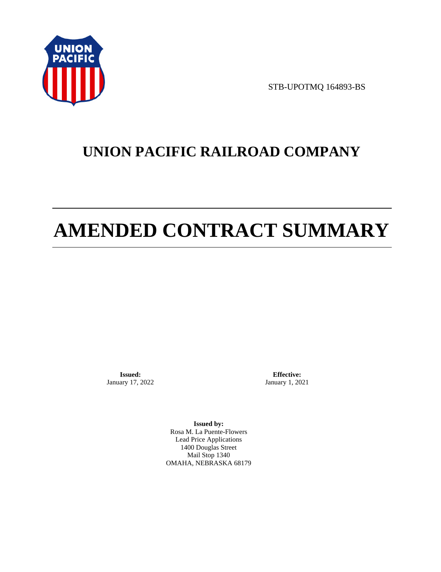

STB-UPOTMQ 164893-BS

# **UNION PACIFIC RAILROAD COMPANY**

# **AMENDED CONTRACT SUMMARY**

**Issued:**  January 17, 2022

**Effective:** January 1, 2021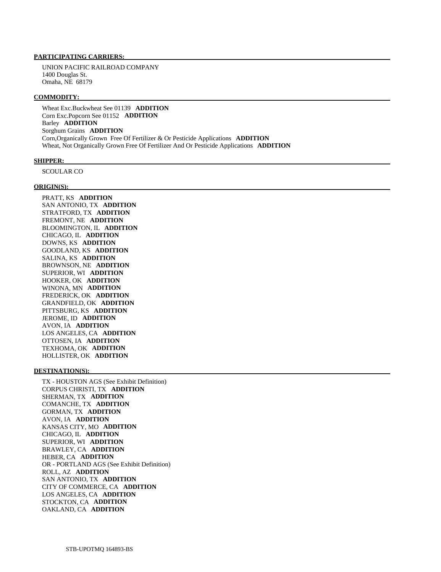UNION PACIFIC RAILROAD COMPANY 1400 Douglas St. Omaha, NE 68179

#### **COMMODITY:**

 Wheat Exc.Buckwheat See 01139 **ADDITION**  Corn Exc.Popcorn See 01152 **ADDITION**  Barley **ADDITION**  Sorghum Grains **ADDITION**  Corn,Organically Grown Free Of Fertilizer & Or Pesticide Applications **ADDITION**  Wheat, Not Organically Grown Free Of Fertilizer And Or Pesticide Applications **ADDITION** 

#### **SHIPPER:**

SCOULAR CO

#### **ORIGIN(S):**

 PRATT, KS **ADDITION**  SAN ANTONIO, TX **ADDITION**  STRATFORD, TX **ADDITION**  FREMONT, NE **ADDITION**  BLOOMINGTON, IL **ADDITION**  CHICAGO, IL **ADDITION**  DOWNS, KS **ADDITION**  GOODLAND, KS **ADDITION**  SALINA, KS **ADDITION**  BROWNSON, NE **ADDITION**  SUPERIOR, WI **ADDITION**  HOOKER, OK **ADDITION**  WINONA, MN **ADDITION**  FREDERICK, OK **ADDITION**  GRANDFIELD, OK **ADDITION**  PITTSBURG, KS **ADDITION**  JEROME, ID **ADDITION**  AVON, IA **ADDITION**  LOS ANGELES, CA **ADDITION**  OTTOSEN, IA **ADDITION**  TEXHOMA, OK **ADDITION**  HOLLISTER, OK **ADDITION** 

#### **DESTINATION(S):**

 TX - HOUSTON AGS (See Exhibit Definition) CORPUS CHRISTI, TX **ADDITION**  SHERMAN, TX **ADDITION**  COMANCHE, TX **ADDITION**  GORMAN, TX **ADDITION**  AVON, IA **ADDITION**  KANSAS CITY, MO **ADDITION**  CHICAGO, IL **ADDITION**  SUPERIOR, WI **ADDITION**  BRAWLEY, CA **ADDITION**  HEBER, CA **ADDITION**  OR - PORTLAND AGS (See Exhibit Definition) ROLL, AZ **ADDITION**  SAN ANTONIO, TX **ADDITION**  CITY OF COMMERCE, CA **ADDITION**  LOS ANGELES, CA **ADDITION**  STOCKTON, CA **ADDITION**  OAKLAND, CA **ADDITION**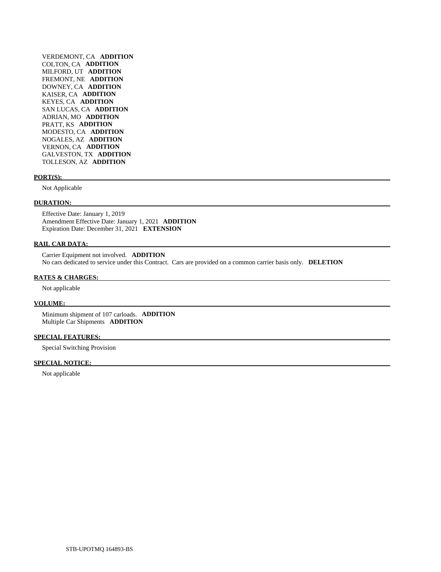VERDEMONT, CA **ADDITION**  COLTON, CA **ADDITION**  MILFORD, UT **ADDITION**  FREMONT, NE **ADDITION**  DOWNEY, CA **ADDITION**  KAISER, CA **ADDITION**  KEYES, CA **ADDITION**  SAN LUCAS, CA **ADDITION**  ADRIAN, MO **ADDITION**  PRATT, KS **ADDITION**  MODESTO, CA **ADDITION**  NOGALES, AZ **ADDITION**  VERNON, CA **ADDITION**  GALVESTON, TX **ADDITION**  TOLLESON, AZ **ADDITION** 

#### **PORT(S):**

Not Applicable

#### **DURATION:**

 Effective Date: January 1, 2019 Amendment Effective Date: January 1, 2021 **ADDITION**  Expiration Date: December 31, 2021 **EXTENSION** 

## **RAIL CAR DATA:**

 Carrier Equipment not involved. **ADDITION**  No cars dedicated to service under this Contract. Cars are provided on a common carrier basis only. **DELETION** 

#### **RATES & CHARGES:**

Not applicable

#### **VOLUME:**

 Minimum shipment of 107 carloads. **ADDITION**  Multiple Car Shipments **ADDITION** 

#### **SPECIAL FEATURES:**

Special Switching Provision

# **SPECIAL NOTICE:**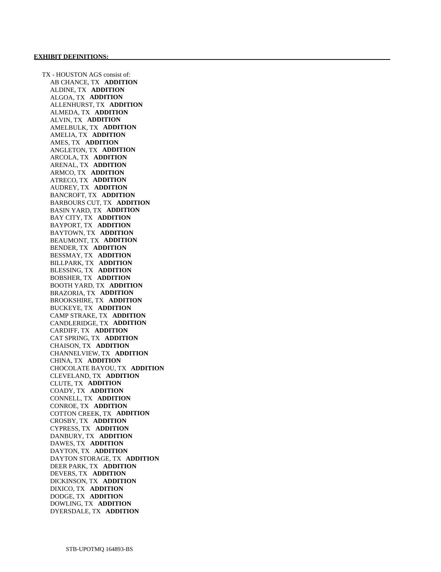TX - HOUSTON AGS consist of: AB CHANCE, TX **ADDITION**  ALDINE, TX **ADDITION**  ALGOA, TX **ADDITION**  ALLENHURST, TX **ADDITION**  ALMEDA, TX **ADDITION**  ALVIN, TX **ADDITION**  AMELBULK, TX **ADDITION**  AMELIA, TX **ADDITION**  AMES, TX **ADDITION**  ANGLETON, TX **ADDITION**  ARCOLA, TX **ADDITION**  ARENAL, TX **ADDITION**  ARMCO, TX **ADDITION**  ATRECO, TX **ADDITION**  AUDREY, TX **ADDITION**  BANCROFT, TX **ADDITION**  BARBOURS CUT, TX **ADDITION**  BASIN YARD, TX **ADDITION**  BAY CITY, TX **ADDITION**  BAYPORT, TX **ADDITION**  BAYTOWN, TX **ADDITION**  BEAUMONT, TX **ADDITION**  BENDER, TX **ADDITION**  BESSMAY, TX **ADDITION**  BILLPARK, TX **ADDITION**  BLESSING, TX **ADDITION**  BOBSHER, TX **ADDITION**  BOOTH YARD, TX **ADDITION**  BRAZORIA, TX **ADDITION**  BROOKSHIRE, TX **ADDITION**  BUCKEYE, TX **ADDITION**  CAMP STRAKE, TX **ADDITION**  CANDLERIDGE, TX **ADDITION**  CARDIFF, TX **ADDITION**  CAT SPRING, TX **ADDITION**  CHAISON, TX **ADDITION**  CHANNELVIEW, TX **ADDITION**  CHINA, TX **ADDITION**  CHOCOLATE BAYOU, TX **ADDITION**  CLEVELAND, TX **ADDITION**  CLUTE, TX **ADDITION**  COADY, TX **ADDITION**  CONNELL, TX **ADDITION**  CONROE, TX **ADDITION**  COTTON CREEK, TX **ADDITION**  CROSBY, TX **ADDITION**  CYPRESS, TX **ADDITION**  DANBURY, TX **ADDITION**  DAWES, TX **ADDITION**  DAYTON, TX **ADDITION**  DAYTON STORAGE, TX **ADDITION**  DEER PARK, TX **ADDITION**  DEVERS, TX **ADDITION**  DICKINSON, TX **ADDITION**  DIXICO, TX **ADDITION**  DODGE, TX **ADDITION**  DOWLING, TX **ADDITION**  DYERSDALE, TX **ADDITION**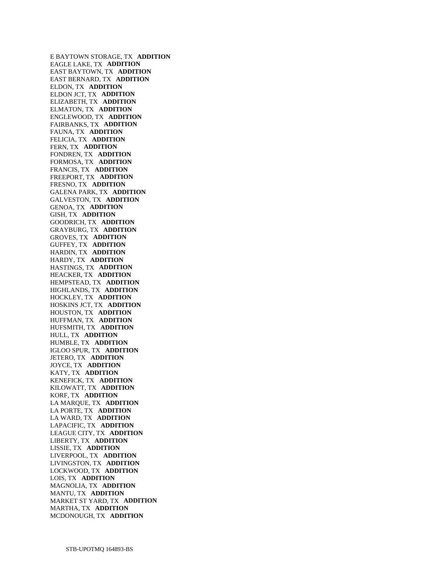E BAYTOWN STORAGE, TX **ADDITION**  EAGLE LAKE, TX **ADDITION**  EAST BAYTOWN, TX **ADDITION**  EAST BERNARD, TX **ADDITION**  ELDON, TX **ADDITION**  ELDON JCT, TX **ADDITION**  ELIZABETH, TX **ADDITION**  ELMATON, TX **ADDITION**  ENGLEWOOD, TX **ADDITION**  FAIRBANKS, TX **ADDITION**  FAUNA, TX **ADDITION**  FELICIA, TX **ADDITION**  FERN, TX **ADDITION**  FONDREN, TX **ADDITION**  FORMOSA, TX **ADDITION**  FRANCIS, TX **ADDITION**  FREEPORT, TX **ADDITION**  FRESNO, TX **ADDITION**  GALENA PARK, TX **ADDITION**  GALVESTON, TX **ADDITION**  GENOA, TX **ADDITION**  GISH, TX **ADDITION**  GOODRICH, TX **ADDITION**  GRAYBURG, TX **ADDITION**  GROVES, TX **ADDITION**  GUFFEY, TX **ADDITION**  HARDIN, TX **ADDITION**  HARDY, TX **ADDITION**  HASTINGS, TX **ADDITION**  HEACKER, TX **ADDITION**  HEMPSTEAD, TX **ADDITION**  HIGHLANDS, TX **ADDITION**  HOCKLEY, TX **ADDITION**  HOSKINS JCT, TX **ADDITION**  HOUSTON, TX **ADDITION**  HUFFMAN, TX **ADDITION**  HUFSMITH, TX **ADDITION**  HULL, TX **ADDITION**  HUMBLE, TX **ADDITION**  IGLOO SPUR, TX **ADDITION**  JETERO, TX **ADDITION**  JOYCE, TX **ADDITION**  KATY, TX **ADDITION**  KENEFICK, TX **ADDITION**  KILOWATT, TX **ADDITION**  KORF, TX **ADDITION**  LA MARQUE, TX **ADDITION**  LA PORTE, TX **ADDITION**  LA WARD, TX **ADDITION**  LAPACIFIC, TX **ADDITION**  LEAGUE CITY, TX **ADDITION**  LIBERTY, TX **ADDITION**  LISSIE, TX **ADDITION**  LIVERPOOL, TX **ADDITION**  LIVINGSTON, TX **ADDITION**  LOCKWOOD, TX **ADDITION**  LOIS, TX **ADDITION**  MAGNOLIA, TX **ADDITION**  MANTU, TX **ADDITION**  MARKET ST YARD, TX **ADDITION**  MARTHA, TX **ADDITION**  MCDONOUGH, TX **ADDITION**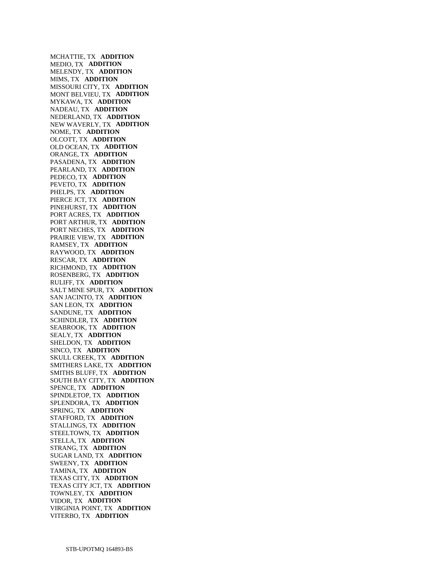MCHATTIE, TX **ADDITION**  MEDIO, TX **ADDITION**  MELENDY, TX **ADDITION**  MIMS, TX **ADDITION**  MISSOURI CITY, TX **ADDITION**  MONT BELVIEU, TX **ADDITION**  MYKAWA, TX **ADDITION**  NADEAU, TX **ADDITION**  NEDERLAND, TX **ADDITION**  NEW WAVERLY, TX **ADDITION**  NOME, TX **ADDITION**  OLCOTT, TX **ADDITION**  OLD OCEAN, TX **ADDITION**  ORANGE, TX **ADDITION**  PASADENA, TX **ADDITION**  PEARLAND, TX **ADDITION**  PEDECO, TX **ADDITION**  PEVETO, TX **ADDITION**  PHELPS, TX **ADDITION**  PIERCE JCT, TX **ADDITION**  PINEHURST, TX **ADDITION**  PORT ACRES, TX **ADDITION**  PORT ARTHUR, TX **ADDITION**  PORT NECHES, TX **ADDITION**  PRAIRIE VIEW, TX **ADDITION**  RAMSEY, TX **ADDITION**  RAYWOOD, TX **ADDITION**  RESCAR, TX **ADDITION**  RICHMOND, TX **ADDITION**  ROSENBERG, TX **ADDITION**  RULIFF, TX **ADDITION**  SALT MINE SPUR, TX **ADDITION**  SAN JACINTO, TX **ADDITION**  SAN LEON, TX **ADDITION**  SANDUNE, TX **ADDITION**  SCHINDLER, TX **ADDITION**  SEABROOK, TX **ADDITION**  SEALY, TX **ADDITION**  SHELDON, TX **ADDITION**  SINCO, TX **ADDITION**  SKULL CREEK, TX **ADDITION**  SMITHERS LAKE, TX **ADDITION**  SMITHS BLUFF, TX **ADDITION**  SOUTH BAY CITY, TX **ADDITION**  SPENCE, TX **ADDITION**  SPINDLETOP, TX **ADDITION**  SPLENDORA, TX **ADDITION**  SPRING, TX **ADDITION**  STAFFORD, TX **ADDITION**  STALLINGS, TX **ADDITION**  STEELTOWN, TX **ADDITION**  STELLA, TX **ADDITION**  STRANG, TX **ADDITION**  SUGAR LAND, TX **ADDITION**  SWEENY, TX **ADDITION**  TAMINA, TX **ADDITION**  TEXAS CITY, TX **ADDITION**  TEXAS CITY JCT, TX **ADDITION**  TOWNLEY, TX **ADDITION**  VIDOR, TX **ADDITION**  VIRGINIA POINT, TX **ADDITION**  VITERBO, TX **ADDITION**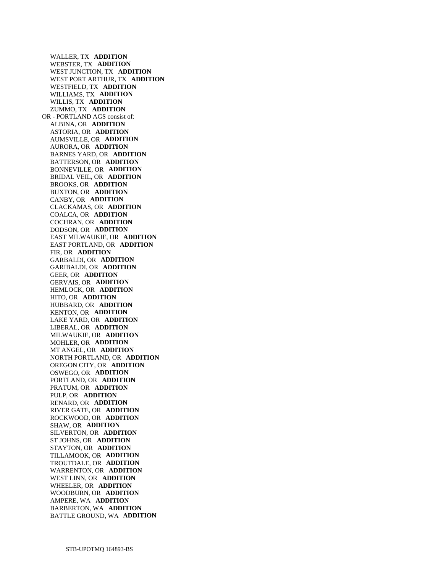WALLER, TX **ADDITION**  WEBSTER, TX **ADDITION**  WEST JUNCTION, TX **ADDITION**  WEST PORT ARTHUR, TX **ADDITION**  WESTFIELD, TX **ADDITION**  WILLIAMS, TX **ADDITION**  WILLIS, TX **ADDITION**  ZUMMO, TX **ADDITION**  OR - PORTLAND AGS consist of: ALBINA, OR **ADDITION**  ASTORIA, OR **ADDITION**  AUMSVILLE, OR **ADDITION**  AURORA, OR **ADDITION**  BARNES YARD, OR **ADDITION**  BATTERSON, OR **ADDITION**  BONNEVILLE, OR **ADDITION**  BRIDAL VEIL, OR **ADDITION**  BROOKS, OR **ADDITION**  BUXTON, OR **ADDITION**  CANBY, OR **ADDITION**  CLACKAMAS, OR **ADDITION**  COALCA, OR **ADDITION**  COCHRAN, OR **ADDITION**  DODSON, OR **ADDITION**  EAST MILWAUKIE, OR **ADDITION**  EAST PORTLAND, OR **ADDITION**  FIR, OR **ADDITION**  GARBALDI, OR **ADDITION**  GARIBALDI, OR **ADDITION**  GEER, OR **ADDITION**  GERVAIS, OR **ADDITION**  HEMLOCK, OR **ADDITION**  HITO, OR **ADDITION**  HUBBARD, OR **ADDITION**  KENTON, OR **ADDITION**  LAKE YARD, OR **ADDITION**  LIBERAL, OR **ADDITION**  MILWAUKIE, OR **ADDITION**  MOHLER, OR **ADDITION**  MT ANGEL, OR **ADDITION**  NORTH PORTLAND, OR **ADDITION**  OREGON CITY, OR **ADDITION**  OSWEGO, OR **ADDITION**  PORTLAND, OR **ADDITION**  PRATUM, OR **ADDITION**  PULP, OR **ADDITION**  RENARD, OR **ADDITION**  RIVER GATE, OR **ADDITION**  ROCKWOOD, OR **ADDITION**  SHAW, OR **ADDITION**  SILVERTON, OR **ADDITION**  ST JOHNS, OR **ADDITION**  STAYTON, OR **ADDITION**  TILLAMOOK, OR **ADDITION**  TROUTDALE, OR **ADDITION**  WARRENTON, OR **ADDITION**  WEST LINN, OR **ADDITION**  WHEELER, OR **ADDITION**  WOODBURN, OR **ADDITION**  AMPERE, WA **ADDITION**  BARBERTON, WA **ADDITION**  BATTLE GROUND, WA **ADDITION**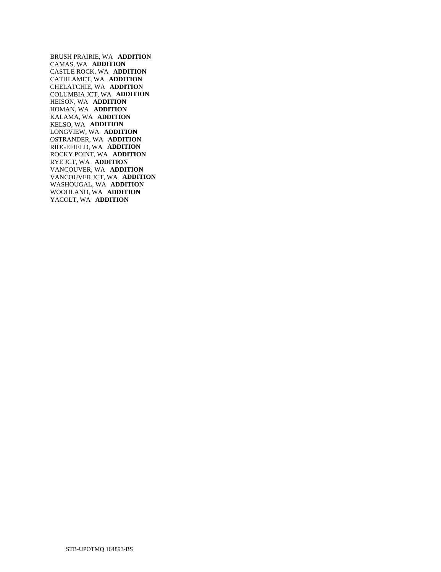BRUSH PRAIRIE, WA **ADDITION**  CAMAS, WA **ADDITION**  CASTLE ROCK, WA **ADDITION**  CATHLAMET, WA **ADDITION**  CHELATCHIE, WA **ADDITION**  COLUMBIA JCT, WA **ADDITION**  HEISON, WA **ADDITION**  HOMAN, WA **ADDITION**  KALAMA, WA **ADDITION**  KELSO, WA **ADDITION**  LONGVIEW, WA **ADDITION**  OSTRANDER, WA **ADDITION**  RIDGEFIELD, WA **ADDITION**  ROCKY POINT, WA **ADDITION**  RYE JCT, WA **ADDITION**  VANCOUVER, WA **ADDITION**  VANCOUVER JCT, WA **ADDITION**  WASHOUGAL, WA **ADDITION**  WOODLAND, WA **ADDITION**  YACOLT, WA **ADDITION**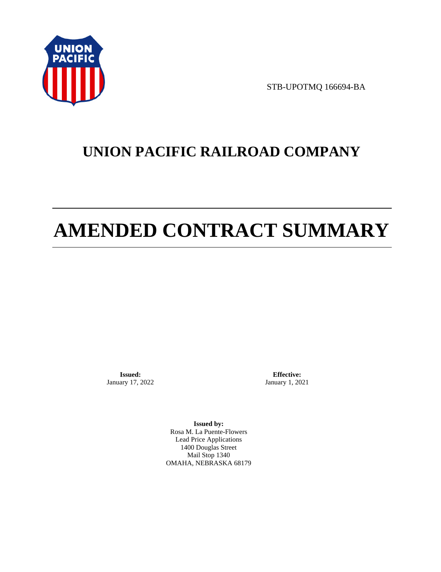

STB-UPOTMQ 166694-BA

# **UNION PACIFIC RAILROAD COMPANY**

# **AMENDED CONTRACT SUMMARY**

**Issued:**  January 17, 2022

**Effective:** January 1, 2021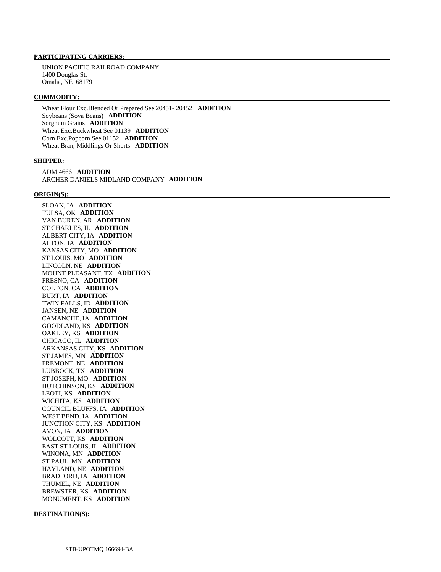UNION PACIFIC RAILROAD COMPANY 1400 Douglas St. Omaha, NE 68179

#### **COMMODITY:**

 Wheat Flour Exc.Blended Or Prepared See 20451- 20452 **ADDITION**  Soybeans (Soya Beans) **ADDITION**  Sorghum Grains **ADDITION**  Wheat Exc.Buckwheat See 01139 **ADDITION**  Corn Exc.Popcorn See 01152 **ADDITION**  Wheat Bran, Middlings Or Shorts **ADDITION** 

#### **SHIPPER:**

 ADM 4666 **ADDITION**  ARCHER DANIELS MIDLAND COMPANY **ADDITION** 

#### **ORIGIN(S):**

 SLOAN, IA **ADDITION**  TULSA, OK **ADDITION**  VAN BUREN, AR **ADDITION**  ST CHARLES, IL **ADDITION**  ALBERT CITY, IA **ADDITION**  ALTON, IA **ADDITION**  KANSAS CITY, MO **ADDITION**  ST LOUIS, MO **ADDITION**  LINCOLN, NE **ADDITION**  MOUNT PLEASANT, TX **ADDITION**  FRESNO, CA **ADDITION**  COLTON, CA **ADDITION**  BURT, IA **ADDITION**  TWIN FALLS, ID **ADDITION**  JANSEN, NE **ADDITION**  CAMANCHE, IA **ADDITION**  GOODLAND, KS **ADDITION**  OAKLEY, KS **ADDITION**  CHICAGO, IL **ADDITION**  ARKANSAS CITY, KS **ADDITION**  ST JAMES, MN **ADDITION**  FREMONT, NE **ADDITION**  LUBBOCK, TX **ADDITION**  ST JOSEPH, MO **ADDITION**  HUTCHINSON, KS **ADDITION**  LEOTI, KS **ADDITION**  WICHITA, KS **ADDITION**  COUNCIL BLUFFS, IA **ADDITION**  WEST BEND, IA **ADDITION**  JUNCTION CITY, KS **ADDITION**  AVON, IA **ADDITION**  WOLCOTT, KS **ADDITION**  EAST ST LOUIS, IL **ADDITION**  WINONA, MN **ADDITION**  ST PAUL, MN **ADDITION**  HAYLAND, NE **ADDITION**  BRADFORD, IA **ADDITION**  THUMEL, NE **ADDITION**  BREWSTER, KS **ADDITION**  MONUMENT, KS **ADDITION** 

**DESTINATION(S):**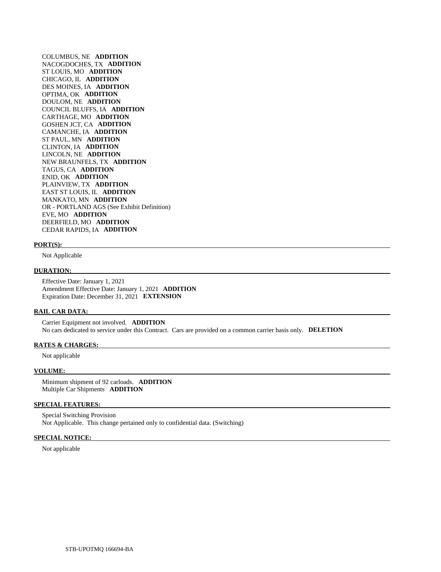COLUMBUS, NE **ADDITION**  NACOGDOCHES, TX **ADDITION**  ST LOUIS, MO **ADDITION**  CHICAGO, IL **ADDITION**  DES MOINES, IA **ADDITION**  OPTIMA, OK **ADDITION**  DOULOM, NE **ADDITION**  COUNCIL BLUFFS, IA **ADDITION**  CARTHAGE, MO **ADDITION**  GOSHEN JCT, CA **ADDITION**  CAMANCHE, IA **ADDITION**  ST PAUL, MN **ADDITION**  CLINTON, IA **ADDITION**  LINCOLN, NE **ADDITION**  NEW BRAUNFELS, TX **ADDITION**  TAGUS, CA **ADDITION**  ENID, OK **ADDITION**  PLAINVIEW, TX **ADDITION**  EAST ST LOUIS, IL **ADDITION**  MANKATO, MN **ADDITION**  OR - PORTLAND AGS (See Exhibit Definition) EVE, MO **ADDITION**  DEERFIELD, MO **ADDITION**  CEDAR RAPIDS, IA **ADDITION** 

#### **PORT(S):**

Not Applicable

#### **DURATION:**

 Effective Date: January 1, 2021 Amendment Effective Date: January 1, 2021 **ADDITION**  Expiration Date: December 31, 2021 **EXTENSION** 

#### **RAIL CAR DATA:**

 Carrier Equipment not involved. **ADDITION**  No cars dedicated to service under this Contract. Cars are provided on a common carrier basis only. **DELETION** 

#### **RATES & CHARGES:**

Not applicable

#### **VOLUME:**

 Minimum shipment of 92 carloads. **ADDITION**  Multiple Car Shipments **ADDITION** 

#### **SPECIAL FEATURES:**

 Special Switching Provision Not Applicable. This change pertained only to confidential data. (Switching)

#### **SPECIAL NOTICE:**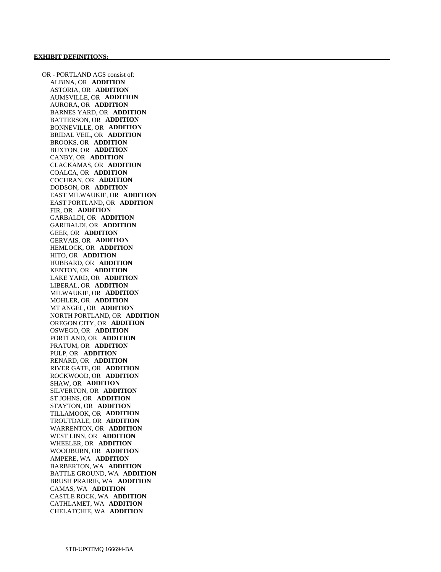OR - PORTLAND AGS consist of: ALBINA, OR **ADDITION**  ASTORIA, OR **ADDITION**  AUMSVILLE, OR **ADDITION**  AURORA, OR **ADDITION**  BARNES YARD, OR **ADDITION**  BATTERSON, OR **ADDITION**  BONNEVILLE, OR **ADDITION**  BRIDAL VEIL, OR **ADDITION**  BROOKS, OR **ADDITION**  BUXTON, OR **ADDITION**  CANBY, OR **ADDITION**  CLACKAMAS, OR **ADDITION**  COALCA, OR **ADDITION**  COCHRAN, OR **ADDITION**  DODSON, OR **ADDITION**  EAST MILWAUKIE, OR **ADDITION**  EAST PORTLAND, OR **ADDITION**  FIR, OR **ADDITION**  GARBALDI, OR **ADDITION**  GARIBALDI, OR **ADDITION**  GEER, OR **ADDITION**  GERVAIS, OR **ADDITION**  HEMLOCK, OR **ADDITION**  HITO, OR **ADDITION**  HUBBARD, OR **ADDITION**  KENTON, OR **ADDITION**  LAKE YARD, OR **ADDITION**  LIBERAL, OR **ADDITION**  MILWAUKIE, OR **ADDITION**  MOHLER, OR **ADDITION**  MT ANGEL, OR **ADDITION**  NORTH PORTLAND, OR **ADDITION**  OREGON CITY, OR **ADDITION**  OSWEGO, OR **ADDITION**  PORTLAND, OR **ADDITION**  PRATUM, OR **ADDITION**  PULP, OR **ADDITION**  RENARD, OR **ADDITION**  RIVER GATE, OR **ADDITION**  ROCKWOOD, OR **ADDITION**  SHAW, OR **ADDITION**  SILVERTON, OR **ADDITION**  ST JOHNS, OR **ADDITION**  STAYTON, OR **ADDITION**  TILLAMOOK, OR **ADDITION**  TROUTDALE, OR **ADDITION**  WARRENTON, OR **ADDITION**  WEST LINN, OR **ADDITION**  WHEELER, OR **ADDITION**  WOODBURN, OR **ADDITION**  AMPERE, WA **ADDITION**  BARBERTON, WA **ADDITION**  BATTLE GROUND, WA **ADDITION**  BRUSH PRAIRIE, WA **ADDITION**  CAMAS, WA **ADDITION**  CASTLE ROCK, WA **ADDITION**  CATHLAMET, WA **ADDITION**  CHELATCHIE, WA **ADDITION**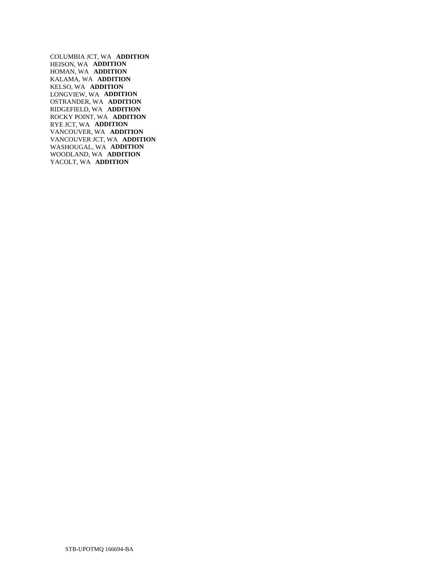COLUMBIA JCT, WA **ADDITION**  HEISON, WA **ADDITION**  HOMAN, WA **ADDITION**  KALAMA, WA **ADDITION**  KELSO, WA **ADDITION**  LONGVIEW, WA **ADDITION**  OSTRANDER, WA **ADDITION**  RIDGEFIELD, WA **ADDITION**  ROCKY POINT, WA **ADDITION**  RYE JCT, WA **ADDITION**  VANCOUVER, WA **ADDITION**  VANCOUVER JCT, WA **ADDITION**  WASHOUGAL, WA **ADDITION**  WOODLAND, WA **ADDITION**  YACOLT, WA **ADDITION**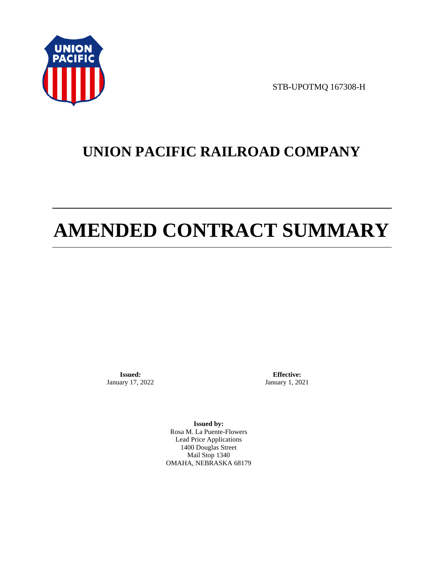

STB-UPOTMQ 167308-H

# **UNION PACIFIC RAILROAD COMPANY**

# **AMENDED CONTRACT SUMMARY**

**Issued:**  January 17, 2022

**Effective:** January 1, 2021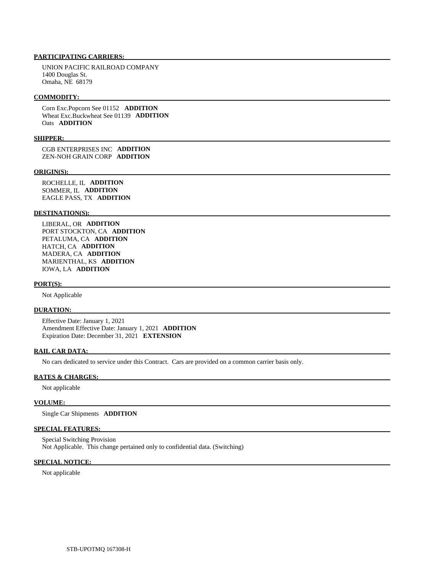UNION PACIFIC RAILROAD COMPANY 1400 Douglas St. Omaha, NE 68179

#### **COMMODITY:**

 Corn Exc.Popcorn See 01152 **ADDITION**  Wheat Exc.Buckwheat See 01139 **ADDITION**  Oats **ADDITION** 

#### **SHIPPER:**

 CGB ENTERPRISES INC **ADDITION**  ZEN-NOH GRAIN CORP **ADDITION** 

#### **ORIGIN(S):**

 ROCHELLE, IL **ADDITION**  SOMMER, IL **ADDITION**  EAGLE PASS, TX **ADDITION** 

#### **DESTINATION(S):**

 LIBERAL, OR **ADDITION**  PORT STOCKTON, CA **ADDITION**  PETALUMA, CA **ADDITION**  HATCH, CA **ADDITION**  MADERA, CA **ADDITION**  MARIENTHAL, KS **ADDITION**  IOWA, LA **ADDITION** 

#### **PORT(S):**

Not Applicable

#### **DURATION:**

 Effective Date: January 1, 2021 Amendment Effective Date: January 1, 2021 **ADDITION**  Expiration Date: December 31, 2021 **EXTENSION** 

#### **RAIL CAR DATA:**

No cars dedicated to service under this Contract. Cars are provided on a common carrier basis only.

#### **RATES & CHARGES:**

Not applicable

## **VOLUME:**

Single Car Shipments **ADDITION** 

## **SPECIAL FEATURES:**

 Special Switching Provision Not Applicable. This change pertained only to confidential data. (Switching)

### **SPECIAL NOTICE:**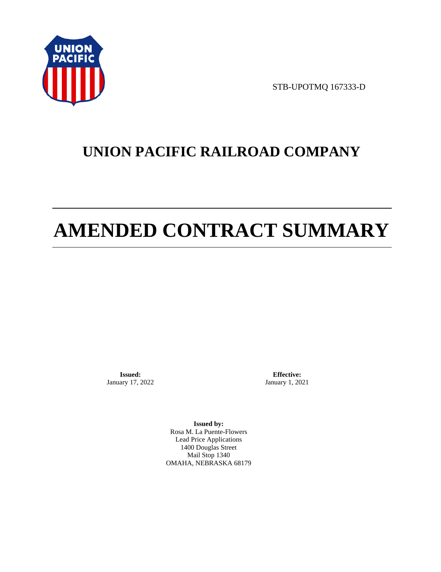

STB-UPOTMQ 167333-D

# **UNION PACIFIC RAILROAD COMPANY**

# **AMENDED CONTRACT SUMMARY**

**Issued:**  January 17, 2022

**Effective:** January 1, 2021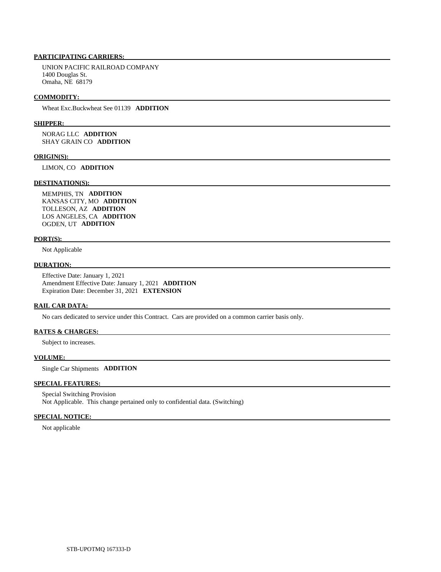UNION PACIFIC RAILROAD COMPANY 1400 Douglas St. Omaha, NE 68179

#### **COMMODITY:**

Wheat Exc.Buckwheat See 01139 **ADDITION** 

#### **SHIPPER:**

 NORAG LLC **ADDITION**  SHAY GRAIN CO **ADDITION** 

#### **ORIGIN(S):**

LIMON, CO **ADDITION** 

#### **DESTINATION(S):**

 MEMPHIS, TN **ADDITION**  KANSAS CITY, MO **ADDITION**  TOLLESON, AZ **ADDITION**  LOS ANGELES, CA **ADDITION**  OGDEN, UT **ADDITION** 

#### **PORT(S):**

Not Applicable

# **DURATION:**

 Effective Date: January 1, 2021 Amendment Effective Date: January 1, 2021 **ADDITION**  Expiration Date: December 31, 2021 **EXTENSION** 

#### **RAIL CAR DATA:**

No cars dedicated to service under this Contract. Cars are provided on a common carrier basis only.

#### **RATES & CHARGES:**

Subject to increases.

#### **VOLUME:**

Single Car Shipments **ADDITION** 

### **SPECIAL FEATURES:**

 Special Switching Provision Not Applicable. This change pertained only to confidential data. (Switching)

#### **SPECIAL NOTICE:**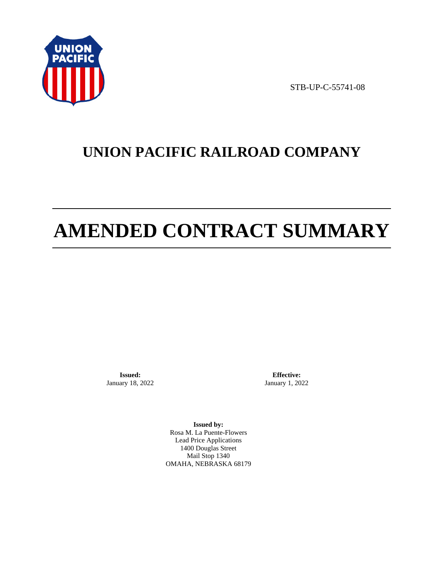

STB-UP-C-55741-08

# **UNION PACIFIC RAILROAD COMPANY**

# **AMENDED CONTRACT SUMMARY**

**Issued:**  January 18, 2022

**Effective:** January 1, 2022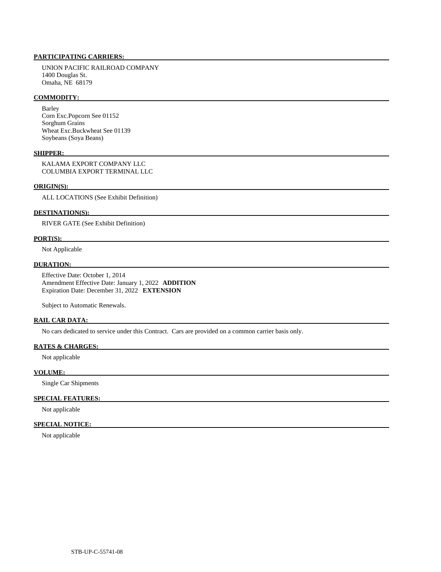UNION PACIFIC RAILROAD COMPANY 1400 Douglas St. Omaha, NE 68179

## **COMMODITY:**

 Barley Corn Exc.Popcorn See 01152 Sorghum Grains Wheat Exc.Buckwheat See 01139 Soybeans (Soya Beans)

## **SHIPPER:**

 KALAMA EXPORT COMPANY LLC COLUMBIA EXPORT TERMINAL LLC

#### **ORIGIN(S):**

ALL LOCATIONS (See Exhibit Definition)

#### **DESTINATION(S):**

RIVER GATE (See Exhibit Definition)

#### **PORT(S):**

Not Applicable

## **DURATION:**

 Effective Date: October 1, 2014 Amendment Effective Date: January 1, 2022 **ADDITION**  Expiration Date: December 31, 2022 **EXTENSION** 

Subject to Automatic Renewals.

#### **RAIL CAR DATA:**

No cars dedicated to service under this Contract. Cars are provided on a common carrier basis only.

#### **RATES & CHARGES:**

Not applicable

#### **VOLUME:**

Single Car Shipments

# **SPECIAL FEATURES:**

Not applicable

#### **SPECIAL NOTICE:**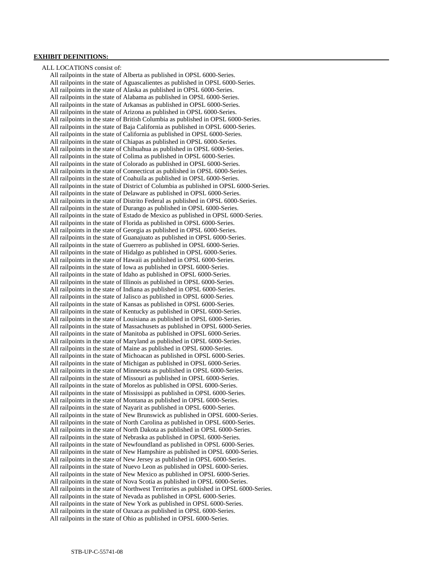#### **EXHIBIT DEFINITIONS:**

 ALL LOCATIONS consist of: All railpoints in the state of Alberta as published in OPSL 6000-Series. All railpoints in the state of Aguascalientes as published in OPSL 6000-Series. All railpoints in the state of Alaska as published in OPSL 6000-Series. All railpoints in the state of Alabama as published in OPSL 6000-Series. All railpoints in the state of Arkansas as published in OPSL 6000-Series. All railpoints in the state of Arizona as published in OPSL 6000-Series. All railpoints in the state of British Columbia as published in OPSL 6000-Series. All railpoints in the state of Baja California as published in OPSL 6000-Series. All railpoints in the state of California as published in OPSL 6000-Series. All railpoints in the state of Chiapas as published in OPSL 6000-Series. All railpoints in the state of Chihuahua as published in OPSL 6000-Series. All railpoints in the state of Colima as published in OPSL 6000-Series. All railpoints in the state of Colorado as published in OPSL 6000-Series. All railpoints in the state of Connecticut as published in OPSL 6000-Series. All railpoints in the state of Coahuila as published in OPSL 6000-Series. All railpoints in the state of District of Columbia as published in OPSL 6000-Series. All railpoints in the state of Delaware as published in OPSL 6000-Series. All railpoints in the state of Distrito Federal as published in OPSL 6000-Series. All railpoints in the state of Durango as published in OPSL 6000-Series. All railpoints in the state of Estado de Mexico as published in OPSL 6000-Series. All railpoints in the state of Florida as published in OPSL 6000-Series. All railpoints in the state of Georgia as published in OPSL 6000-Series. All railpoints in the state of Guanajuato as published in OPSL 6000-Series. All railpoints in the state of Guerrero as published in OPSL 6000-Series. All railpoints in the state of Hidalgo as published in OPSL 6000-Series. All railpoints in the state of Hawaii as published in OPSL 6000-Series. All railpoints in the state of Iowa as published in OPSL 6000-Series. All railpoints in the state of Idaho as published in OPSL 6000-Series. All railpoints in the state of Illinois as published in OPSL 6000-Series. All railpoints in the state of Indiana as published in OPSL 6000-Series. All railpoints in the state of Jalisco as published in OPSL 6000-Series. All railpoints in the state of Kansas as published in OPSL 6000-Series. All railpoints in the state of Kentucky as published in OPSL 6000-Series. All railpoints in the state of Louisiana as published in OPSL 6000-Series. All railpoints in the state of Massachusets as published in OPSL 6000-Series. All railpoints in the state of Manitoba as published in OPSL 6000-Series. All railpoints in the state of Maryland as published in OPSL 6000-Series. All railpoints in the state of Maine as published in OPSL 6000-Series. All railpoints in the state of Michoacan as published in OPSL 6000-Series. All railpoints in the state of Michigan as published in OPSL 6000-Series. All railpoints in the state of Minnesota as published in OPSL 6000-Series. All railpoints in the state of Missouri as published in OPSL 6000-Series. All railpoints in the state of Morelos as published in OPSL 6000-Series. All railpoints in the state of Mississippi as published in OPSL 6000-Series. All railpoints in the state of Montana as published in OPSL 6000-Series. All railpoints in the state of Nayarit as published in OPSL 6000-Series. All railpoints in the state of New Brunswick as published in OPSL 6000-Series. All railpoints in the state of North Carolina as published in OPSL 6000-Series. All railpoints in the state of North Dakota as published in OPSL 6000-Series. All railpoints in the state of Nebraska as published in OPSL 6000-Series. All railpoints in the state of Newfoundland as published in OPSL 6000-Series. All railpoints in the state of New Hampshire as published in OPSL 6000-Series. All railpoints in the state of New Jersey as published in OPSL 6000-Series. All railpoints in the state of Nuevo Leon as published in OPSL 6000-Series. All railpoints in the state of New Mexico as published in OPSL 6000-Series. All railpoints in the state of Nova Scotia as published in OPSL 6000-Series. All railpoints in the state of Northwest Territories as published in OPSL 6000-Series. All railpoints in the state of Nevada as published in OPSL 6000-Series. All railpoints in the state of New York as published in OPSL 6000-Series. All railpoints in the state of Oaxaca as published in OPSL 6000-Series. All railpoints in the state of Ohio as published in OPSL 6000-Series.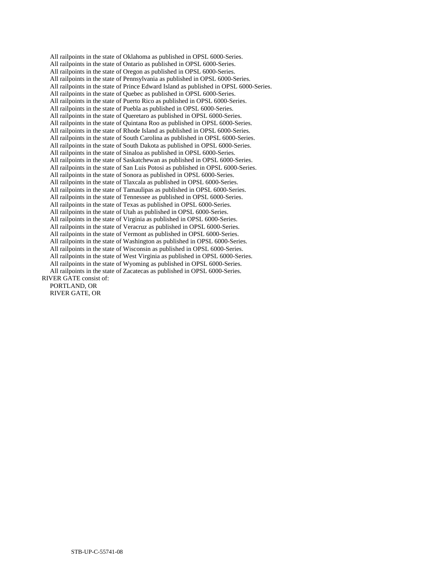All railpoints in the state of Oklahoma as published in OPSL 6000-Series. All railpoints in the state of Ontario as published in OPSL 6000-Series. All railpoints in the state of Oregon as published in OPSL 6000-Series. All railpoints in the state of Pennsylvania as published in OPSL 6000-Series. All railpoints in the state of Prince Edward Island as published in OPSL 6000-Series. All railpoints in the state of Quebec as published in OPSL 6000-Series. All railpoints in the state of Puerto Rico as published in OPSL 6000-Series. All railpoints in the state of Puebla as published in OPSL 6000-Series. All railpoints in the state of Queretaro as published in OPSL 6000-Series. All railpoints in the state of Quintana Roo as published in OPSL 6000-Series. All railpoints in the state of Rhode Island as published in OPSL 6000-Series. All railpoints in the state of South Carolina as published in OPSL 6000-Series. All railpoints in the state of South Dakota as published in OPSL 6000-Series. All railpoints in the state of Sinaloa as published in OPSL 6000-Series. All railpoints in the state of Saskatchewan as published in OPSL 6000-Series. All railpoints in the state of San Luis Potosi as published in OPSL 6000-Series. All railpoints in the state of Sonora as published in OPSL 6000-Series. All railpoints in the state of Tlaxcala as published in OPSL 6000-Series. All railpoints in the state of Tamaulipas as published in OPSL 6000-Series. All railpoints in the state of Tennessee as published in OPSL 6000-Series. All railpoints in the state of Texas as published in OPSL 6000-Series. All railpoints in the state of Utah as published in OPSL 6000-Series. All railpoints in the state of Virginia as published in OPSL 6000-Series. All railpoints in the state of Veracruz as published in OPSL 6000-Series. All railpoints in the state of Vermont as published in OPSL 6000-Series. All railpoints in the state of Washington as published in OPSL 6000-Series. All railpoints in the state of Wisconsin as published in OPSL 6000-Series. All railpoints in the state of West Virginia as published in OPSL 6000-Series. All railpoints in the state of Wyoming as published in OPSL 6000-Series. All railpoints in the state of Zacatecas as published in OPSL 6000-Series. RIVER GATE consist of: PORTLAND, OR

RIVER GATE, OR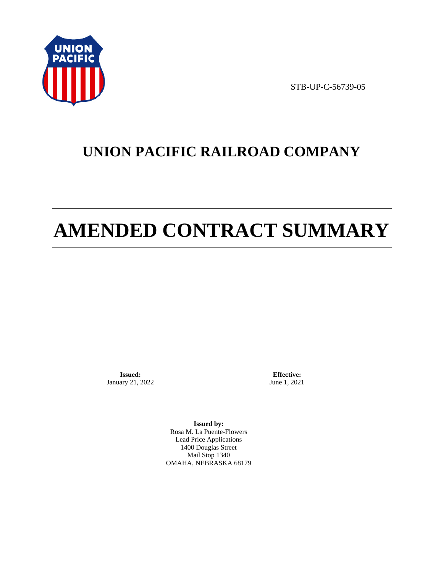

STB-UP-C-56739-05

# **UNION PACIFIC RAILROAD COMPANY**

# **AMENDED CONTRACT SUMMARY**

**Issued:**  January 21, 2022

**Effective:** June 1, 2021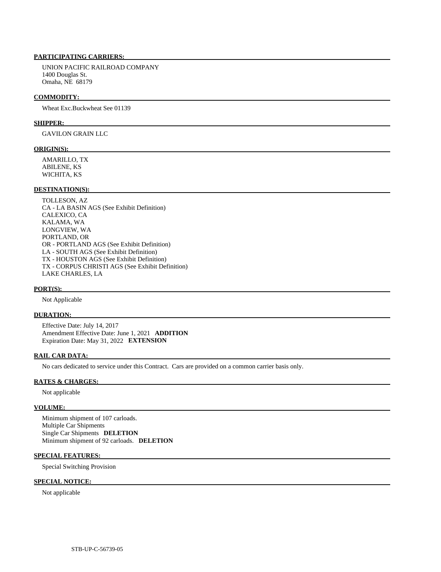UNION PACIFIC RAILROAD COMPANY 1400 Douglas St. Omaha, NE 68179

#### **COMMODITY:**

Wheat Exc.Buckwheat See 01139

#### **SHIPPER:**

GAVILON GRAIN LLC

#### **ORIGIN(S):**

 AMARILLO, TX ABILENE, KS WICHITA, KS

# **DESTINATION(S):**

 TOLLESON, AZ CA - LA BASIN AGS (See Exhibit Definition) CALEXICO, CA KALAMA, WA LONGVIEW, WA PORTLAND, OR OR - PORTLAND AGS (See Exhibit Definition) LA - SOUTH AGS (See Exhibit Definition) TX - HOUSTON AGS (See Exhibit Definition) TX - CORPUS CHRISTI AGS (See Exhibit Definition) LAKE CHARLES, LA

#### **PORT(S):**

Not Applicable

## **DURATION:**

 Effective Date: July 14, 2017 Amendment Effective Date: June 1, 2021 **ADDITION**  Expiration Date: May 31, 2022 **EXTENSION** 

#### **RAIL CAR DATA:**

No cars dedicated to service under this Contract. Cars are provided on a common carrier basis only.

#### **RATES & CHARGES:**

Not applicable

#### **VOLUME:**

 Minimum shipment of 107 carloads. Multiple Car Shipments Single Car Shipments **DELETION**  Minimum shipment of 92 carloads. **DELETION** 

# **SPECIAL FEATURES:**

Special Switching Provision

## **SPECIAL NOTICE:**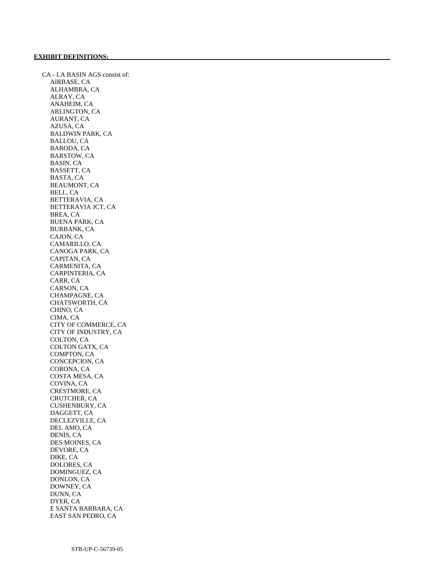CA - LA BASIN AGS consist of: AIRBASE, CA ALHAMBRA, CA ALRAY, CA ANAHEIM, CA ARLINGTON, CA AURANT, CA AZUSA, CA BALDWIN PARK, CA BALLOU, CA BARODA, CA BARSTOW, CA BASIN, CA BASSETT, CA BASTA, CA BEAUMONT, CA BELL, CA BETTERAVIA, CA BETTERAVIA JCT, CA BREA, CA BUENA PARK, CA BURBANK, CA CAJON, CA CAMARILLO, CA CANOGA PARK, CA CAPITAN, CA CARMENITA, CA CARPINTERIA, CA CARR, CA CARSON, CA CHAMPAGNE, CA CHATSWORTH, CA CHINO, CA CIMA, CA CITY OF COMMERCE, CA CITY OF INDUSTRY, CA COLTON, CA COLTON GATX, CA COMPTON, CA CONCEPCION, CA CORONA, CA COSTA MESA, CA COVINA, CA CRESTMORE, CA CRUTCHER, CA CUSHENBURY, CA DAGGETT, CA DECLEZVILLE, CA DEL AMO, CA DENIS, CA DES MOINES, CA DEVORE, CA DIKE, CA DOLORES, CA DOMINGUEZ, CA DONLON, CA DOWNEY, CA DUNN, CA DYER, CA E SANTA BARBARA, CA EAST SAN PEDRO, CA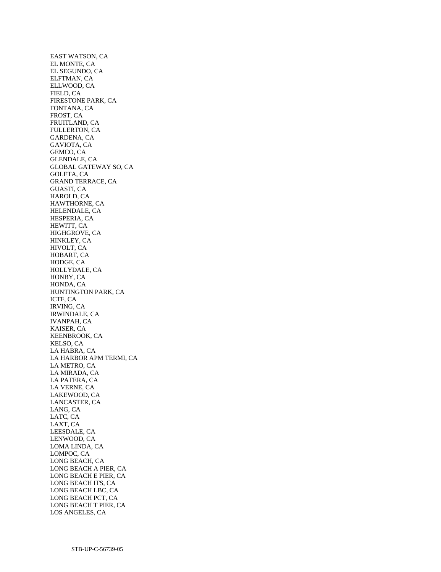EAST WATSON, CA EL MONTE, CA EL SEGUNDO, CA ELFTMAN, CA ELLWOOD, CA FIELD, CA FIRESTONE PARK, CA FONTANA, CA FROST, CA FRUITLAND, CA FULLERTON, CA GARDENA, CA GAVIOTA, CA GEMCO, CA GLENDALE, CA GLOBAL GATEWAY SO, CA GOLETA, CA GRAND TERRACE, CA GUASTI, CA HAROLD, CA HAWTHORNE, CA HELENDALE, CA HESPERIA, CA HEWITT, CA HIGHGROVE, CA HINKLEY, CA HIVOLT, CA HOBART, CA HODGE, CA HOLLYDALE, CA HONBY, CA HONDA, CA HUNTINGTON PARK, CA ICTF, CA IRVING, CA IRWINDALE, CA IVANPAH, CA KAISER, CA KEENBROOK, CA KELSO, CA LA HABRA, CA LA HARBOR APM TERMI, CA LA METRO, CA LA MIRADA, CA LA PATERA, CA LA VERNE, CA LAKEWOOD, CA LANCASTER, CA LANG, CA LATC, CA LAXT, CA LEESDALE, CA LENWOOD, CA LOMA LINDA, CA LOMPOC, CA LONG BEACH, CA LONG BEACH A PIER, CA LONG BEACH E PIER, CA LONG BEACH ITS, CA LONG BEACH LBC, CA LONG BEACH PCT, CA LONG BEACH T PIER, CA LOS ANGELES, CA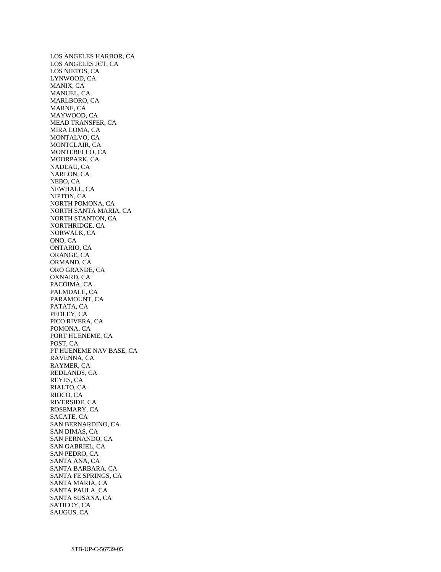LOS ANGELES HARBOR, CA LOS ANGELES JCT, CA LOS NIETOS, CA LYNWOOD, CA MANIX, CA MANUEL, CA MARLBORO, CA MARNE, CA MAYWOOD, CA MEAD TRANSFER, CA MIRA LOMA, CA MONTALVO, CA MONTCLAIR, CA MONTEBELLO, CA MOORPARK, CA NADEAU, CA NARLON, CA NEBO, CA NEWHALL, CA NIPTON, CA NORTH POMONA, CA NORTH SANTA MARIA, CA NORTH STANTON, CA NORTHRIDGE, CA NORWALK, CA ONO, CA ONTARIO, CA ORANGE, CA ORMAND, CA ORO GRANDE, CA OXNARD, CA PACOIMA, CA PALMDALE, CA PARAMOUNT, CA PATATA, CA PEDLEY, CA PICO RIVERA, CA POMONA, CA PORT HUENEME, CA POST, CA PT HUENEME NAV BASE, CA RAVENNA, CA RAYMER, CA REDLANDS, CA REYES, CA RIALTO, CA RIOCO, CA RIVERSIDE, CA ROSEMARY, CA SACATE, CA SAN BERNARDINO, CA SAN DIMAS, CA SAN FERNANDO, CA SAN GABRIEL, CA SAN PEDRO, CA SANTA ANA, CA SANTA BARBARA, CA SANTA FE SPRINGS, CA SANTA MARIA, CA SANTA PAULA, CA SANTA SUSANA, CA SATICOY, CA SAUGUS, CA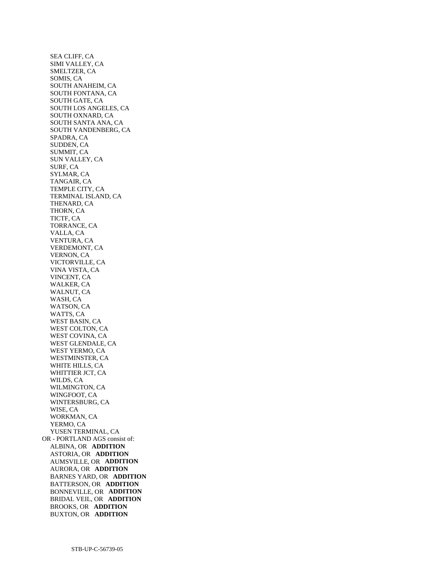SEA CLIFF, CA SIMI VALLEY, CA SMELTZER, CA SOMIS, CA SOUTH ANAHEIM, CA SOUTH FONTANA, CA SOUTH GATE, CA SOUTH LOS ANGELES, CA SOUTH OXNARD, CA SOUTH SANTA ANA, CA SOUTH VANDENBERG, CA SPADRA, CA SUDDEN, CA SUMMIT, CA SUN VALLEY, CA SURF, CA SYLMAR, CA TANGAIR, CA TEMPLE CITY, CA TERMINAL ISLAND, CA THENARD, CA THORN, CA TICTF, CA TORRANCE, CA VALLA, CA VENTURA, CA VERDEMONT, CA VERNON, CA VICTORVILLE, CA VINA VISTA, CA VINCENT, CA WALKER, CA WALNUT, CA WASH, CA WATSON, CA WATTS, CA WEST BASIN, CA WEST COLTON, CA WEST COVINA, CA WEST GLENDALE, CA WEST YERMO, CA WESTMINSTER, CA WHITE HILLS, CA WHITTIER JCT, CA WILDS, CA WILMINGTON, CA WINGFOOT, CA WINTERSBURG, CA WISE, CA WORKMAN, CA YERMO, CA YUSEN TERMINAL, CA OR - PORTLAND AGS consist of: ALBINA, OR **ADDITION**  ASTORIA, OR **ADDITION**  AUMSVILLE, OR **ADDITION**  AURORA, OR **ADDITION**  BARNES YARD, OR **ADDITION**  BATTERSON, OR **ADDITION**  BONNEVILLE, OR **ADDITION**  BRIDAL VEIL, OR **ADDITION**  BROOKS, OR **ADDITION**  BUXTON, OR **ADDITION**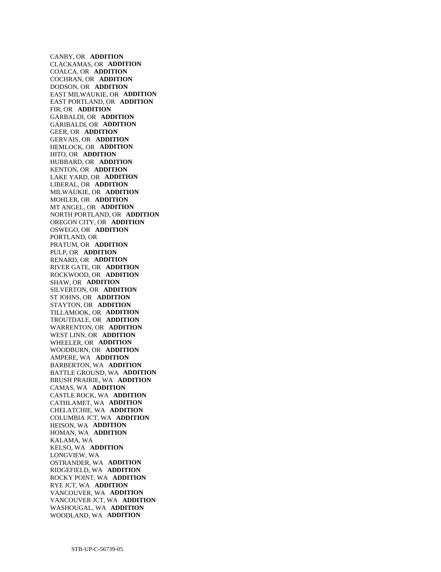CANBY, OR **ADDITION**  CLACKAMAS, OR **ADDITION**  COALCA, OR **ADDITION**  COCHRAN, OR **ADDITION**  DODSON, OR **ADDITION**  EAST MILWAUKIE, OR **ADDITION**  EAST PORTLAND, OR **ADDITION**  FIR, OR **ADDITION**  GARBALDI, OR **ADDITION**  GARIBALDI, OR **ADDITION**  GEER, OR **ADDITION**  GERVAIS, OR **ADDITION**  HEMLOCK, OR **ADDITION**  HITO, OR **ADDITION**  HUBBARD, OR **ADDITION**  KENTON, OR **ADDITION**  LAKE YARD, OR **ADDITION**  LIBERAL, OR **ADDITION**  MILWAUKIE, OR **ADDITION**  MOHLER, OR **ADDITION**  MT ANGEL, OR **ADDITION**  NORTH PORTLAND, OR **ADDITION**  OREGON CITY, OR **ADDITION**  OSWEGO, OR **ADDITION**  PORTLAND, OR PRATUM, OR **ADDITION**  PULP, OR **ADDITION**  RENARD, OR **ADDITION**  RIVER GATE, OR **ADDITION**  ROCKWOOD, OR **ADDITION**  SHAW, OR **ADDITION**  SILVERTON, OR **ADDITION**  ST JOHNS, OR **ADDITION**  STAYTON, OR **ADDITION**  TILLAMOOK, OR **ADDITION**  TROUTDALE, OR **ADDITION**  WARRENTON, OR **ADDITION**  WEST LINN, OR **ADDITION**  WHEELER, OR **ADDITION**  WOODBURN, OR **ADDITION**  AMPERE, WA **ADDITION**  BARBERTON, WA **ADDITION**  BATTLE GROUND, WA **ADDITION**  BRUSH PRAIRIE, WA **ADDITION**  CAMAS, WA **ADDITION**  CASTLE ROCK, WA **ADDITION**  CATHLAMET, WA **ADDITION**  CHELATCHIE, WA **ADDITION**  COLUMBIA JCT, WA **ADDITION**  HEISON, WA **ADDITION**  HOMAN, WA **ADDITION**  KALAMA, WA KELSO, WA **ADDITION**  LONGVIEW, WA OSTRANDER, WA **ADDITION**  RIDGEFIELD, WA **ADDITION**  ROCKY POINT, WA **ADDITION**  RYE JCT, WA **ADDITION**  VANCOUVER, WA **ADDITION**  VANCOUVER JCT, WA **ADDITION**  WASHOUGAL, WA **ADDITION**  WOODLAND, WA **ADDITION**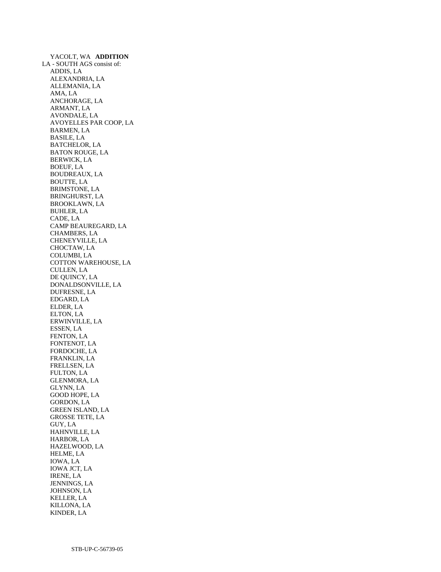YACOLT, WA **ADDITION**  LA - SOUTH AGS consist of: ADDIS, LA ALEXANDRIA, LA ALLEMANIA, LA AMA, LA ANCHORAGE, LA ARMANT, LA AVONDALE, LA AVOYELLES PAR COOP, LA BARMEN, LA BASILE, LA BATCHELOR, LA BATON ROUGE, LA BERWICK, LA BOEUF, LA BOUDREAUX, LA BOUTTE, LA BRIMSTONE, LA BRINGHURST, LA BROOKLAWN, LA BUHLER, LA CADE, LA CAMP BEAUREGARD, LA CHAMBERS, LA CHENEYVILLE, LA CHOCTAW, LA COLUMBI, LA COTTON WAREHOUSE, LA CULLEN, LA DE QUINCY, LA DONALDSONVILLE, LA DUFRESNE, LA EDGARD, LA ELDER, LA ELTON, LA ERWINVILLE, LA ESSEN, LA FENTON, LA FONTENOT, LA FORDOCHE, LA FRANKLIN, LA FRELLSEN, LA FULTON, LA GLENMORA, LA GLYNN, LA GOOD HOPE, LA GORDON, LA GREEN ISLAND, LA GROSSE TETE, LA GUY, LA HAHNVILLE, LA HARBOR, LA HAZELWOOD, LA HELME, LA IOWA, LA IOWA JCT, LA IRENE, LA JENNINGS, LA JOHNSON, LA KELLER, LA KILLONA, LA KINDER, LA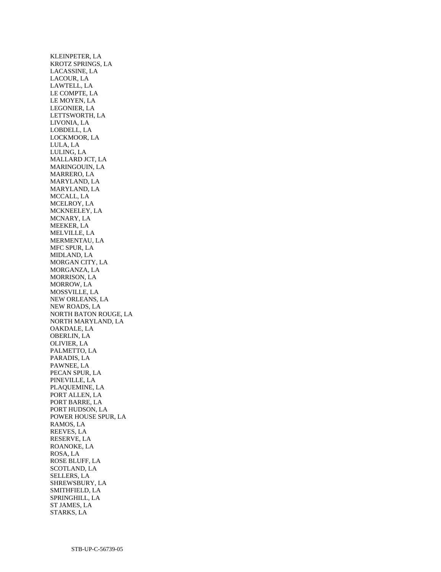KLEINPETER, LA KROTZ SPRINGS, LA LACASSINE, LA LACOUR, LA LAWTELL, LA LE COMPTE, LA LE MOYEN, LA LEGONIER, LA LETTSWORTH, LA LIVONIA, LA LOBDELL, LA LOCKMOOR, LA LULA, LA LULING, LA MALLARD JCT, LA MARINGOUIN, LA MARRERO, LA MARYLAND, LA MARYLAND, LA MCCALL, LA MCELROY, LA MCKNEELEY, LA MCNARY, LA MEEKER, LA MELVILLE, LA MERMENTAU, LA MFC SPUR, LA MIDLAND, LA MORGAN CITY, LA MORGANZA, LA MORRISON, LA MORROW, LA MOSSVILLE, LA NEW ORLEANS, LA NEW ROADS, LA NORTH BATON ROUGE, LA NORTH MARYLAND, LA OAKDALE, LA OBERLIN, LA OLIVIER, LA PALMETTO, LA PARADIS, LA PAWNEE, LA PECAN SPUR, LA PINEVILLE, LA PLAQUEMINE, LA PORT ALLEN, LA PORT BARRE, LA PORT HUDSON, LA POWER HOUSE SPUR, LA RAMOS, LA REEVES, LA RESERVE, LA ROANOKE, LA ROSA, LA ROSE BLUFF, LA SCOTLAND, LA SELLERS, LA SHREWSBURY, LA SMITHFIELD, LA SPRINGHILL, LA ST JAMES, LA STARKS, LA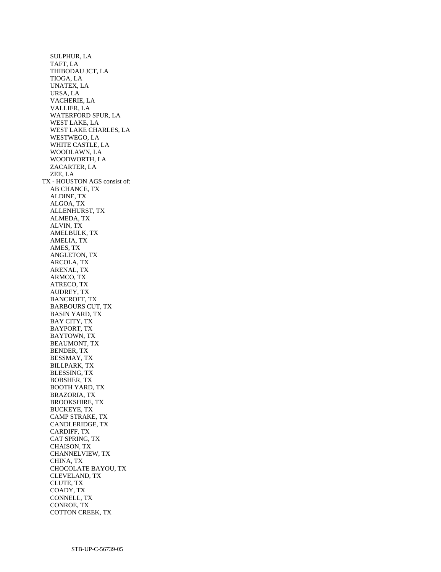SULPHUR, LA TAFT, LA THIBODAU JCT, LA TIOGA, LA UNATEX, LA URSA, LA VACHERIE, LA VALLIER, LA WATERFORD SPUR, LA WEST LAKE, LA WEST LAKE CHARLES, LA WESTWEGO, LA WHITE CASTLE, LA WOODLAWN, LA WOODWORTH, LA ZACARTER, LA ZEE, LA TX - HOUSTON AGS consist of: AB CHANCE, TX ALDINE, TX ALGOA, TX ALLENHURST, TX ALMEDA, TX ALVIN, TX AMELBULK, TX AMELIA, TX AMES, TX ANGLETON, TX ARCOLA, TX ARENAL, TX ARMCO, TX ATRECO, TX AUDREY, TX BANCROFT, TX BARBOURS CUT, TX BASIN YARD, TX BAY CITY, TX BAYPORT, TX BAYTOWN, TX BEAUMONT, TX BENDER, TX BESSMAY, TX BILLPARK, TX BLESSING, TX BOBSHER, TX BOOTH YARD, TX BRAZORIA, TX BROOKSHIRE, TX BUCKEYE, TX CAMP STRAKE, TX CANDLERIDGE, TX CARDIFF, TX CAT SPRING, TX CHAISON, TX CHANNELVIEW, TX CHINA, TX CHOCOLATE BAYOU, TX CLEVELAND, TX CLUTE, TX COADY, TX CONNELL, TX CONROE, TX COTTON CREEK, TX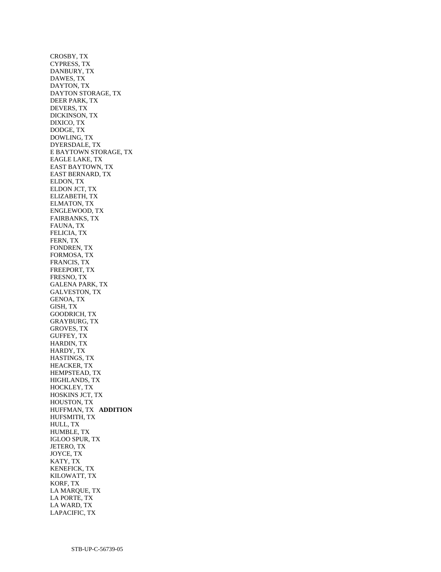CROSBY, TX CYPRESS, TX DANBURY, TX DAWES, TX DAYTON, TX DAYTON STORAGE, TX DEER PARK, TX DEVERS, TX DICKINSON, TX DIXICO, TX DODGE, TX DOWLING, TX DYERSDALE, TX E BAYTOWN STORAGE, TX EAGLE LAKE, TX EAST BAYTOWN, TX EAST BERNARD, TX ELDON, TX ELDON JCT, TX ELIZABETH, TX ELMATON, TX ENGLEWOOD, TX FAIRBANKS, TX FAUNA, TX FELICIA, TX FERN, TX FONDREN, TX FORMOSA, TX FRANCIS, TX FREEPORT, TX FRESNO, TX GALENA PARK, TX GALVESTON, TX GENOA, TX GISH, TX GOODRICH, TX GRAYBURG, TX GROVES, TX GUFFEY, TX HARDIN, TX HARDY, TX HASTINGS, TX HEACKER, TX HEMPSTEAD, TX HIGHLANDS, TX HOCKLEY, TX HOSKINS JCT, TX HOUSTON, TX HUFFMAN, TX **ADDITION**  HUFSMITH, TX HULL, TX HUMBLE, TX IGLOO SPUR, TX JETERO, TX JOYCE, TX KATY, TX KENEFICK, TX KILOWATT, TX KORF, TX LA MARQUE, TX LA PORTE, TX LA WARD, TX LAPACIFIC, TX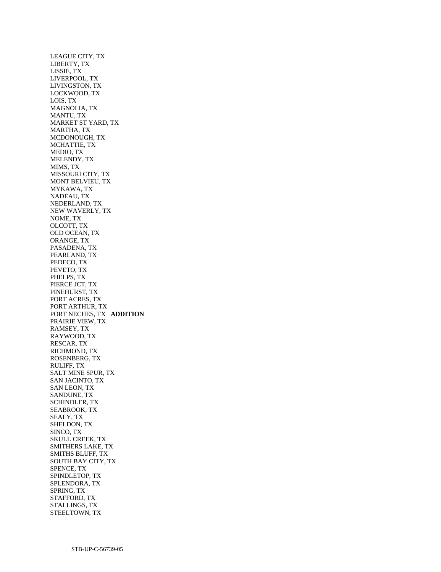LEAGUE CITY, TX LIBERTY, TX LISSIE, TX LIVERPOOL, TX LIVINGSTON, TX LOCKWOOD, TX LOIS, TX MAGNOLIA, TX MANTU, TX MARKET ST YARD, TX MARTHA, TX MCDONOUGH, TX MCHATTIE, TX MEDIO, TX MELENDY, TX MIMS, TX MISSOURI CITY, TX MONT BELVIEU, TX MYKAWA, TX NADEAU, TX NEDERLAND, TX NEW WAVERLY, TX NOME, TX OLCOTT, TX OLD OCEAN, TX ORANGE, TX PASADENA, TX PEARLAND, TX PEDECO, TX PEVETO, TX PHELPS, TX PIERCE JCT, TX PINEHURST, TX PORT ACRES, TX PORT ARTHUR, TX PORT NECHES, TX **ADDITION**  PRAIRIE VIEW, TX RAMSEY, TX RAYWOOD, TX RESCAR, TX RICHMOND, TX ROSENBERG, TX RULIFF, TX SALT MINE SPUR, TX SAN JACINTO, TX SAN LEON, TX SANDUNE, TX SCHINDLER, TX SEABROOK, TX SEALY, TX SHELDON, TX SINCO, TX SKULL CREEK, TX SMITHERS LAKE, TX SMITHS BLUFF, TX SOUTH BAY CITY, TX SPENCE, TX SPINDLETOP, TX SPLENDORA, TX SPRING, TX STAFFORD, TX STALLINGS, TX STEELTOWN, TX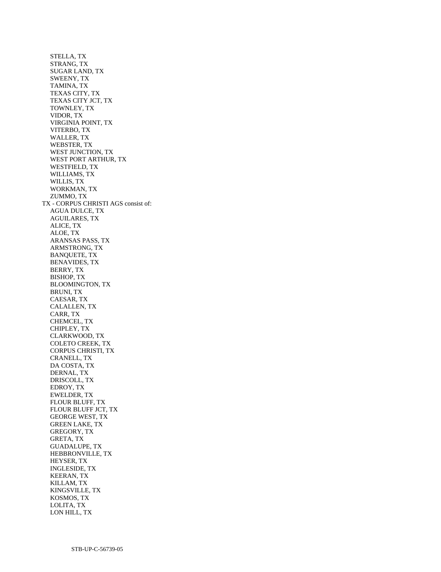STELLA, TX STRANG, TX SUGAR LAND, TX SWEENY, TX TAMINA, TX TEXAS CITY, TX TEXAS CITY JCT, TX TOWNLEY, TX VIDOR, TX VIRGINIA POINT, TX VITERBO, TX WALLER, TX WEBSTER, TX WEST JUNCTION, TX WEST PORT ARTHUR, TX WESTFIELD, TX WILLIAMS, TX WILLIS, TX WORKMAN, TX ZUMMO, TX TX - CORPUS CHRISTI AGS consist of: AGUA DULCE, TX AGUILARES, TX ALICE, TX ALOE, TX ARANSAS PASS, TX ARMSTRONG, TX BANQUETE, TX BENAVIDES, TX BERRY, TX BISHOP, TX BLOOMINGTON, TX BRUNI, TX CAESAR, TX CALALLEN, TX CARR, TX CHEMCEL, TX CHIPLEY, TX CLARKWOOD, TX COLETO CREEK, TX CORPUS CHRISTI, TX CRANELL, TX DA COSTA, TX DERNAL, TX DRISCOLL, TX EDROY, TX EWELDER, TX FLOUR BLUFF, TX FLOUR BLUFF JCT, TX GEORGE WEST, TX GREEN LAKE, TX GREGORY, TX GRETA, TX GUADALUPE, TX HEBBRONVILLE, TX HEYSER, TX INGLESIDE, TX KEERAN, TX KILLAM, TX KINGSVILLE, TX KOSMOS, TX LOLITA, TX LON HILL, TX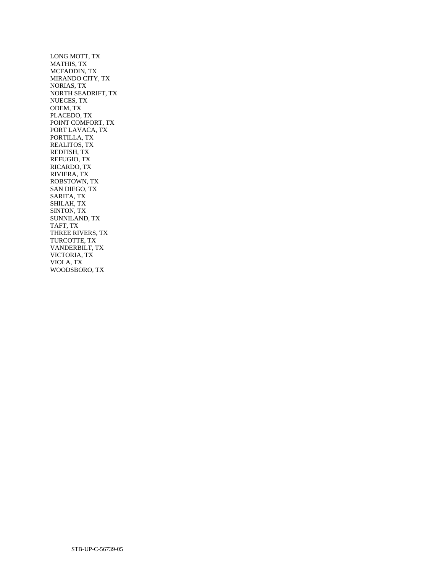LONG MOTT, TX MATHIS, TX MCFADDIN, TX MIRANDO CITY, TX NORIAS, TX NORTH SEADRIFT, TX NUECES, TX ODEM, TX PLACEDO, TX POINT COMFORT, TX PORT LAVACA, TX PORTILLA, TX REALITOS, TX REDFISH, TX REFUGIO, TX RICARDO, TX RIVIERA, TX ROBSTOWN, TX SAN DIEGO, TX SARITA, TX SHILAH, TX SINTON, TX SUNNILAND, TX TAFT, TX THREE RIVERS, TX TURCOTTE, TX VANDERBILT, TX VICTORIA, TX VIOLA, TX WOODSBORO, TX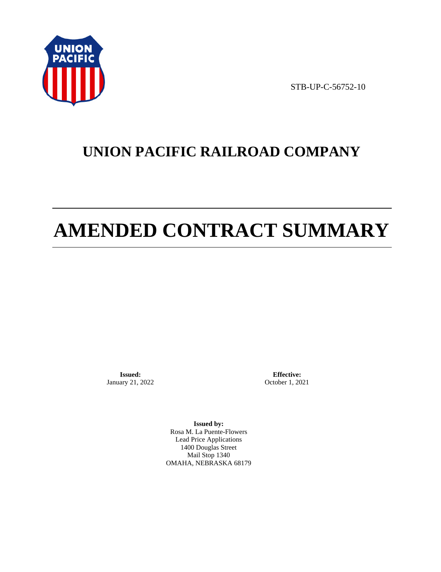

STB-UP-C-56752-10

# **UNION PACIFIC RAILROAD COMPANY**

# **AMENDED CONTRACT SUMMARY**

**Issued:**  January 21, 2022

**Effective:** October 1, 2021

**Issued by:**  Rosa M. La Puente-Flowers Lead Price Applications 1400 Douglas Street Mail Stop 1340 OMAHA, NEBRASKA 68179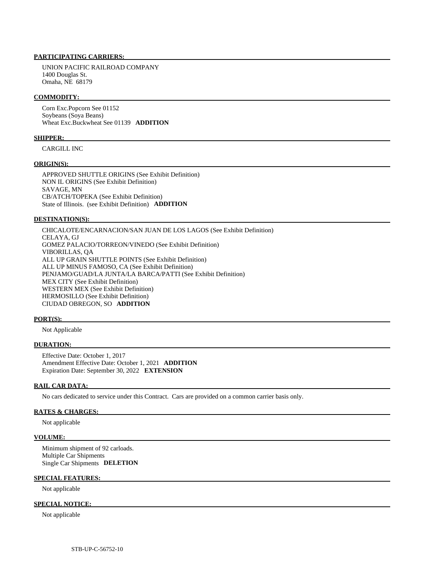### **PARTICIPATING CARRIERS:**

 UNION PACIFIC RAILROAD COMPANY 1400 Douglas St. Omaha, NE 68179

#### **COMMODITY:**

 Corn Exc.Popcorn See 01152 Soybeans (Soya Beans) Wheat Exc.Buckwheat See 01139 **ADDITION** 

### **SHIPPER:**

CARGILL INC

#### **ORIGIN(S):**

 APPROVED SHUTTLE ORIGINS (See Exhibit Definition) NON IL ORIGINS (See Exhibit Definition) SAVAGE, MN CB/ATCH/TOPEKA (See Exhibit Definition) State of Illinois. (see Exhibit Definition) **ADDITION** 

#### **DESTINATION(S):**

 CHICALOTE/ENCARNACION/SAN JUAN DE LOS LAGOS (See Exhibit Definition) CELAYA, GJ GOMEZ PALACIO/TORREON/VINEDO (See Exhibit Definition) VIBORILLAS, QA ALL UP GRAIN SHUTTLE POINTS (See Exhibit Definition) ALL UP MINUS FAMOSO, CA (See Exhibit Definition) PENJAMO/GUAD/LA JUNTA/LA BARCA/PATTI (See Exhibit Definition) MEX CITY (See Exhibit Definition) WESTERN MEX (See Exhibit Definition) HERMOSILLO (See Exhibit Definition) CIUDAD OBREGON, SO **ADDITION** 

#### **PORT(S):**

Not Applicable

#### **DURATION:**

 Effective Date: October 1, 2017 Amendment Effective Date: October 1, 2021 **ADDITION**  Expiration Date: September 30, 2022 **EXTENSION** 

#### **RAIL CAR DATA:**

No cars dedicated to service under this Contract. Cars are provided on a common carrier basis only.

#### **RATES & CHARGES:**

Not applicable

### **VOLUME:**

 Minimum shipment of 92 carloads. Multiple Car Shipments Single Car Shipments **DELETION** 

#### **SPECIAL FEATURES:**

Not applicable

#### **SPECIAL NOTICE:**

Not applicable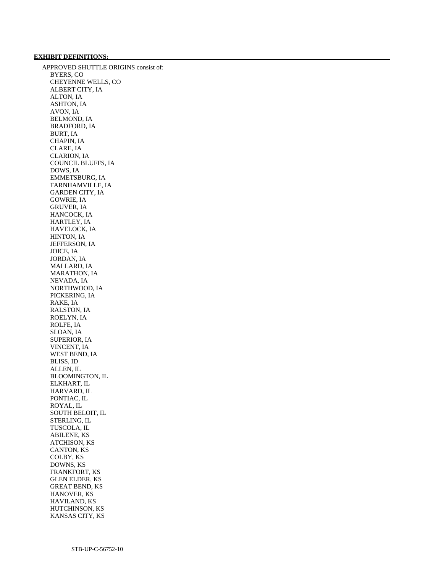## **EXHIBIT DEFINITIONS:**

 APPROVED SHUTTLE ORIGINS consist of: BYERS, CO CHEYENNE WELLS, CO ALBERT CITY, IA ALTON, IA ASHTON, IA AVON, IA BELMOND, IA BRADFORD, IA BURT, IA CHAPIN, IA CLARE, IA CLARION, IA COUNCIL BLUFFS, IA DOWS, IA EMMETSBURG, IA FARNHAMVILLE, IA GARDEN CITY, IA GOWRIE, IA GRUVER, IA HANCOCK, IA HARTLEY, IA HAVELOCK, IA HINTON, IA JEFFERSON, IA JOICE, IA JORDAN, IA MALLARD, IA MARATHON, IA NEVADA, IA NORTHWOOD, IA PICKERING, IA RAKE, IA RALSTON, IA ROELYN, IA ROLFE, IA SLOAN, IA SUPERIOR, IA VINCENT, IA WEST BEND, IA BLISS, ID ALLEN, IL BLOOMINGTON, IL ELKHART, IL HARVARD, IL PONTIAC, IL ROYAL, IL SOUTH BELOIT, IL STERLING, IL TUSCOLA, IL ABILENE, KS ATCHISON, KS CANTON, KS COLBY, KS DOWNS, KS FRANKFORT, KS GLEN ELDER, KS GREAT BEND, KS HANOVER, KS HAVILAND, KS HUTCHINSON, KS KANSAS CITY, KS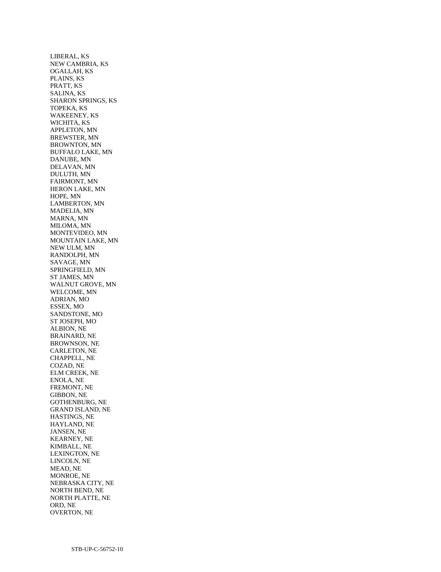LIBERAL, KS NEW CAMBRIA, KS OGALLAH, KS PLAINS, KS PRATT, KS SALINA, KS SHARON SPRINGS, KS TOPEKA, KS WAKEENEY, KS WICHITA, KS APPLETON, MN BREWSTER, MN BROWNTON, MN BUFFALO LAKE, MN DANUBE, MN DELAVAN, MN DULUTH, MN FAIRMONT, MN HERON LAKE, MN HOPE, MN LAMBERTON, MN MADELIA, MN MARNA, MN MILOMA, MN MONTEVIDEO, MN MOUNTAIN LAKE, MN NEW ULM, MN RANDOLPH, MN SAVAGE, MN SPRINGFIELD, MN ST JAMES, MN WALNUT GROVE, MN WELCOME, MN ADRIAN, MO ESSEX, MO SANDSTONE, MO ST JOSEPH, MO ALBION, NE BRAINARD, NE BROWNSON, NE CARLETON, NE CHAPPELL, NE COZAD, NE ELM CREEK, NE ENOLA, NE FREMONT, NE GIBBON, NE GOTHENBURG, NE GRAND ISLAND, NE HASTINGS, NE HAYLAND, NE JANSEN, NE KEARNEY, NE KIMBALL, NE LEXINGTON, NE LINCOLN, NE MEAD, NE MONROE, NE NEBRASKA CITY, NE NORTH BEND, NE NORTH PLATTE, NE ORD, NE OVERTON, NE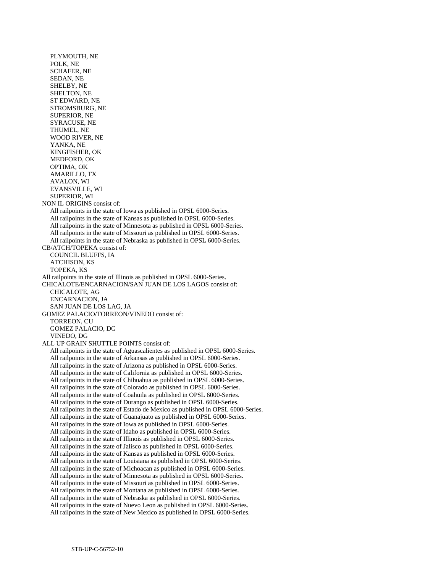PLYMOUTH, NE POLK, NE SCHAFER, NE SEDAN, NE SHELBY, NE SHELTON, NE ST EDWARD, NE STROMSBURG, NE SUPERIOR, NE SYRACUSE, NE THUMEL, NE WOOD RIVER, NE YANKA, NE KINGFISHER, OK MEDFORD, OK OPTIMA, OK AMARILLO, TX AVALON, WI EVANSVILLE, WI SUPERIOR, WI NON IL ORIGINS consist of: All railpoints in the state of Iowa as published in OPSL 6000-Series. All railpoints in the state of Kansas as published in OPSL 6000-Series. All railpoints in the state of Minnesota as published in OPSL 6000-Series. All railpoints in the state of Missouri as published in OPSL 6000-Series. All railpoints in the state of Nebraska as published in OPSL 6000-Series. CB/ATCH/TOPEKA consist of: COUNCIL BLUFFS, IA ATCHISON, KS TOPEKA, KS All railpoints in the state of Illinois as published in OPSL 6000-Series. CHICALOTE/ENCARNACION/SAN JUAN DE LOS LAGOS consist of: CHICALOTE, AG ENCARNACION, JA SAN JUAN DE LOS LAG, JA GOMEZ PALACIO/TORREON/VINEDO consist of: TORREON, CU GOMEZ PALACIO, DG VINEDO, DG ALL UP GRAIN SHUTTLE POINTS consist of: All railpoints in the state of Aguascalientes as published in OPSL 6000-Series. All railpoints in the state of Arkansas as published in OPSL 6000-Series. All railpoints in the state of Arizona as published in OPSL 6000-Series. All railpoints in the state of California as published in OPSL 6000-Series. All railpoints in the state of Chihuahua as published in OPSL 6000-Series. All railpoints in the state of Colorado as published in OPSL 6000-Series. All railpoints in the state of Coahuila as published in OPSL 6000-Series. All railpoints in the state of Durango as published in OPSL 6000-Series. All railpoints in the state of Estado de Mexico as published in OPSL 6000-Series. All railpoints in the state of Guanajuato as published in OPSL 6000-Series. All railpoints in the state of Iowa as published in OPSL 6000-Series. All railpoints in the state of Idaho as published in OPSL 6000-Series. All railpoints in the state of Illinois as published in OPSL 6000-Series. All railpoints in the state of Jalisco as published in OPSL 6000-Series. All railpoints in the state of Kansas as published in OPSL 6000-Series. All railpoints in the state of Louisiana as published in OPSL 6000-Series. All railpoints in the state of Michoacan as published in OPSL 6000-Series. All railpoints in the state of Minnesota as published in OPSL 6000-Series. All railpoints in the state of Missouri as published in OPSL 6000-Series. All railpoints in the state of Montana as published in OPSL 6000-Series. All railpoints in the state of Nebraska as published in OPSL 6000-Series. All railpoints in the state of Nuevo Leon as published in OPSL 6000-Series. All railpoints in the state of New Mexico as published in OPSL 6000-Series.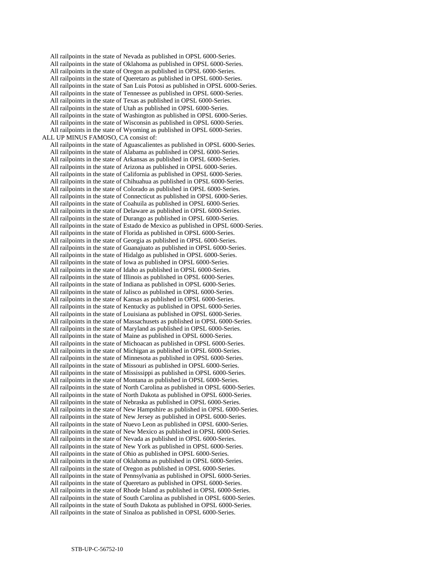All railpoints in the state of Nevada as published in OPSL 6000-Series. All railpoints in the state of Oklahoma as published in OPSL 6000-Series. All railpoints in the state of Oregon as published in OPSL 6000-Series. All railpoints in the state of Queretaro as published in OPSL 6000-Series. All railpoints in the state of San Luis Potosi as published in OPSL 6000-Series. All railpoints in the state of Tennessee as published in OPSL 6000-Series. All railpoints in the state of Texas as published in OPSL 6000-Series. All railpoints in the state of Utah as published in OPSL 6000-Series. All railpoints in the state of Washington as published in OPSL 6000-Series. All railpoints in the state of Wisconsin as published in OPSL 6000-Series. All railpoints in the state of Wyoming as published in OPSL 6000-Series. ALL UP MINUS FAMOSO, CA consist of: All railpoints in the state of Aguascalientes as published in OPSL 6000-Series. All railpoints in the state of Alabama as published in OPSL 6000-Series. All railpoints in the state of Arkansas as published in OPSL 6000-Series. All railpoints in the state of Arizona as published in OPSL 6000-Series. All railpoints in the state of California as published in OPSL 6000-Series. All railpoints in the state of Chihuahua as published in OPSL 6000-Series. All railpoints in the state of Colorado as published in OPSL 6000-Series. All railpoints in the state of Connecticut as published in OPSL 6000-Series. All railpoints in the state of Coahuila as published in OPSL 6000-Series. All railpoints in the state of Delaware as published in OPSL 6000-Series. All railpoints in the state of Durango as published in OPSL 6000-Series. All railpoints in the state of Estado de Mexico as published in OPSL 6000-Series. All railpoints in the state of Florida as published in OPSL 6000-Series. All railpoints in the state of Georgia as published in OPSL 6000-Series. All railpoints in the state of Guanajuato as published in OPSL 6000-Series. All railpoints in the state of Hidalgo as published in OPSL 6000-Series. All railpoints in the state of Iowa as published in OPSL 6000-Series. All railpoints in the state of Idaho as published in OPSL 6000-Series. All railpoints in the state of Illinois as published in OPSL 6000-Series. All railpoints in the state of Indiana as published in OPSL 6000-Series. All railpoints in the state of Jalisco as published in OPSL 6000-Series. All railpoints in the state of Kansas as published in OPSL 6000-Series. All railpoints in the state of Kentucky as published in OPSL 6000-Series. All railpoints in the state of Louisiana as published in OPSL 6000-Series. All railpoints in the state of Massachusets as published in OPSL 6000-Series. All railpoints in the state of Maryland as published in OPSL 6000-Series. All railpoints in the state of Maine as published in OPSL 6000-Series. All railpoints in the state of Michoacan as published in OPSL 6000-Series. All railpoints in the state of Michigan as published in OPSL 6000-Series. All railpoints in the state of Minnesota as published in OPSL 6000-Series. All railpoints in the state of Missouri as published in OPSL 6000-Series. All railpoints in the state of Mississippi as published in OPSL 6000-Series. All railpoints in the state of Montana as published in OPSL 6000-Series. All railpoints in the state of North Carolina as published in OPSL 6000-Series. All railpoints in the state of North Dakota as published in OPSL 6000-Series. All railpoints in the state of Nebraska as published in OPSL 6000-Series. All railpoints in the state of New Hampshire as published in OPSL 6000-Series. All railpoints in the state of New Jersey as published in OPSL 6000-Series. All railpoints in the state of Nuevo Leon as published in OPSL 6000-Series. All railpoints in the state of New Mexico as published in OPSL 6000-Series. All railpoints in the state of Nevada as published in OPSL 6000-Series. All railpoints in the state of New York as published in OPSL 6000-Series. All railpoints in the state of Ohio as published in OPSL 6000-Series. All railpoints in the state of Oklahoma as published in OPSL 6000-Series. All railpoints in the state of Oregon as published in OPSL 6000-Series. All railpoints in the state of Pennsylvania as published in OPSL 6000-Series. All railpoints in the state of Queretaro as published in OPSL 6000-Series. All railpoints in the state of Rhode Island as published in OPSL 6000-Series. All railpoints in the state of South Carolina as published in OPSL 6000-Series. All railpoints in the state of South Dakota as published in OPSL 6000-Series. All railpoints in the state of Sinaloa as published in OPSL 6000-Series.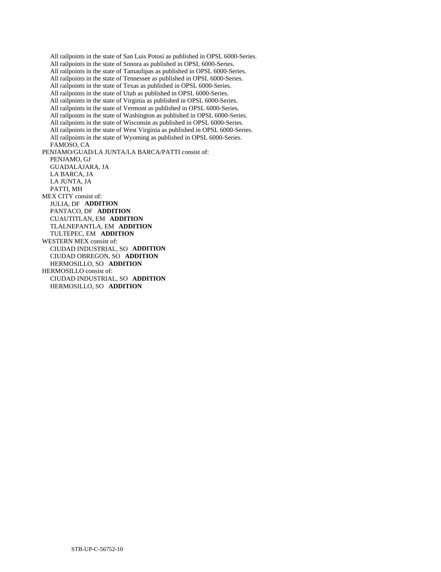All railpoints in the state of San Luis Potosi as published in OPSL 6000-Series. All railpoints in the state of Sonora as published in OPSL 6000-Series. All railpoints in the state of Tamaulipas as published in OPSL 6000-Series. All railpoints in the state of Tennessee as published in OPSL 6000-Series. All railpoints in the state of Texas as published in OPSL 6000-Series. All railpoints in the state of Utah as published in OPSL 6000-Series. All railpoints in the state of Virginia as published in OPSL 6000-Series. All railpoints in the state of Vermont as published in OPSL 6000-Series. All railpoints in the state of Washington as published in OPSL 6000-Series. All railpoints in the state of Wisconsin as published in OPSL 6000-Series. All railpoints in the state of West Virginia as published in OPSL 6000-Series. All railpoints in the state of Wyoming as published in OPSL 6000-Series. FAMOSO, CA PENJAMO/GUAD/LA JUNTA/LA BARCA/PATTI consist of: PENJAMO, GJ GUADALAJARA, JA LA BARCA, JA LA JUNTA, JA PATTI, MH MEX CITY consist of: JULIA, DF **ADDITION**  PANTACO, DF **ADDITION**  CUAUTITLAN, EM **ADDITION**  TLALNEPANTLA, EM **ADDITION**  TULTEPEC, EM **ADDITION**  WESTERN MEX consist of: CIUDAD INDUSTRIAL, SO **ADDITION**  CIUDAD OBREGON, SO **ADDITION**  HERMOSILLO, SO **ADDITION**  HERMOSILLO consist of: CIUDAD INDUSTRIAL, SO **ADDITION**  HERMOSILLO, SO **ADDITION**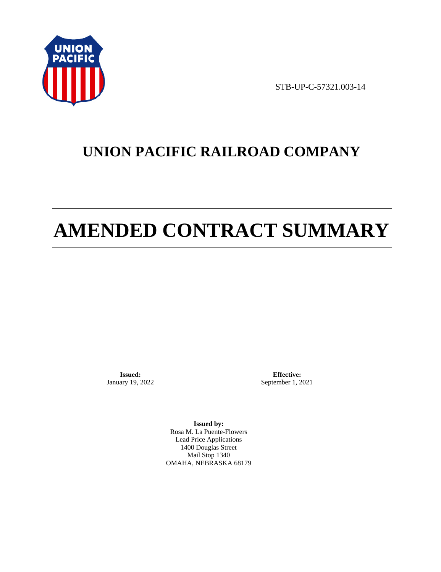

STB-UP-C-57321.003-14

# **UNION PACIFIC RAILROAD COMPANY**

# **AMENDED CONTRACT SUMMARY**

**Issued:**  January 19, 2022

**Effective:** September 1, 2021

**Issued by:**  Rosa M. La Puente-Flowers Lead Price Applications 1400 Douglas Street Mail Stop 1340 OMAHA, NEBRASKA 68179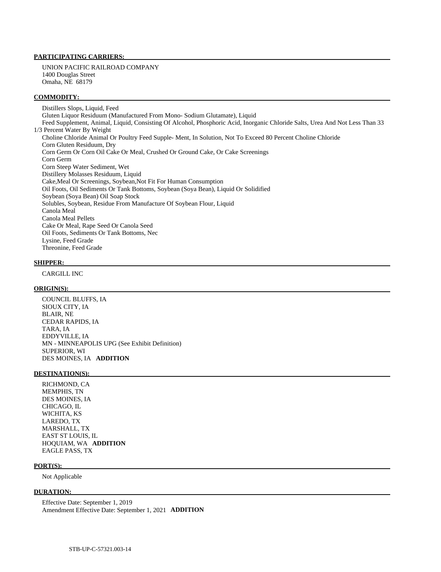### **PARTICIPATING CARRIERS:**

 UNION PACIFIC RAILROAD COMPANY 1400 Douglas Street Omaha, NE 68179

#### **COMMODITY:**

 Distillers Slops, Liquid, Feed Gluten Liquor Residuum (Manufactured From Mono- Sodium Glutamate), Liquid Feed Supplement, Animal, Liquid, Consisting Of Alcohol, Phosphoric Acid, Inorganic Chloride Salts, Urea And Not Less Than 33 1/3 Percent Water By Weight Choline Chloride Animal Or Poultry Feed Supple- Ment, In Solution, Not To Exceed 80 Percent Choline Chloride Corn Gluten Residuum, Dry Corn Germ Or Corn Oil Cake Or Meal, Crushed Or Ground Cake, Or Cake Screenings Corn Germ Corn Steep Water Sediment, Wet Distillery Molasses Residuum, Liquid Cake,Meal Or Screenings, Soybean,Not Fit For Human Consumption Oil Foots, Oil Sediments Or Tank Bottoms, Soybean (Soya Bean), Liquid Or Solidified Soybean (Soya Bean) Oil Soap Stock Solubles, Soybean, Residue From Manufacture Of Soybean Flour, Liquid Canola Meal Canola Meal Pellets Cake Or Meal, Rape Seed Or Canola Seed Oil Foots, Sediments Or Tank Bottoms, Nec Lysine, Feed Grade Threonine, Feed Grade

#### **SHIPPER:**

CARGILL INC

#### **ORIGIN(S):**

 COUNCIL BLUFFS, IA SIOUX CITY, IA BLAIR, NE CEDAR RAPIDS, IA TARA, IA EDDYVILLE, IA MN - MINNEAPOLIS UPG (See Exhibit Definition) SUPERIOR, WI DES MOINES, IA **ADDITION** 

#### **DESTINATION(S):**

 RICHMOND, CA MEMPHIS, TN DES MOINES, IA CHICAGO, IL WICHITA, KS LAREDO, TX MARSHALL, TX EAST ST LOUIS, IL HOQUIAM, WA **ADDITION**  EAGLE PASS, TX

#### **PORT(S):**

Not Applicable

#### **DURATION:**

 Effective Date: September 1, 2019 Amendment Effective Date: September 1, 2021 **ADDITION**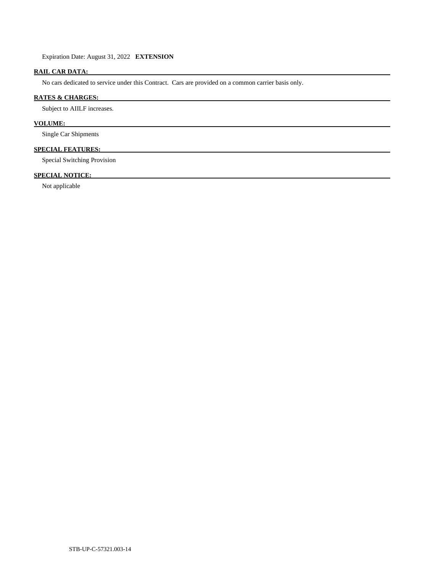Expiration Date: August 31, 2022 **EXTENSION** 

# **RAIL CAR DATA:**

No cars dedicated to service under this Contract. Cars are provided on a common carrier basis only.

## **RATES & CHARGES:**

Subject to AIILF increases.

# **VOLUME:**

Single Car Shipments

# **SPECIAL FEATURES:**

Special Switching Provision

# **SPECIAL NOTICE:**

Not applicable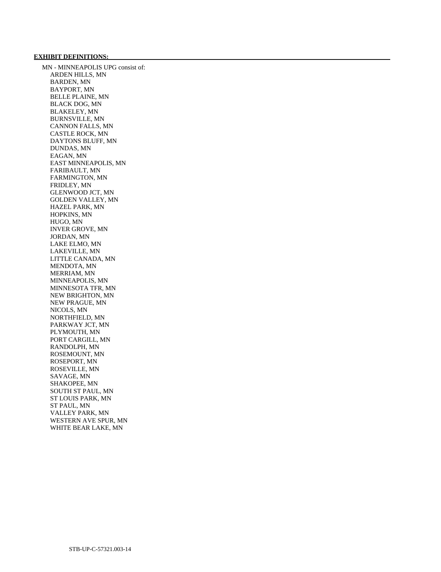## **EXHIBIT DEFINITIONS:**

 MN - MINNEAPOLIS UPG consist of: ARDEN HILLS, MN BARDEN, MN BAYPORT, MN BELLE PLAINE, MN BLACK DOG, MN BLAKELEY, MN BURNSVILLE, MN CANNON FALLS, MN CASTLE ROCK, MN DAYTONS BLUFF, MN DUNDAS, MN EAGAN, MN EAST MINNEAPOLIS, MN FARIBAULT, MN FARMINGTON, MN FRIDLEY, MN GLENWOOD JCT, MN GOLDEN VALLEY, MN HAZEL PARK, MN HOPKINS, MN HUGO, MN INVER GROVE, MN JORDAN, MN LAKE ELMO, MN LAKEVILLE, MN LITTLE CANADA, MN MENDOTA, MN MERRIAM, MN MINNEAPOLIS, MN MINNESOTA TFR, MN NEW BRIGHTON, MN NEW PRAGUE, MN NICOLS, MN NORTHFIELD, MN PARKWAY JCT, MN PLYMOUTH, MN PORT CARGILL, MN RANDOLPH, MN ROSEMOUNT, MN ROSEPORT, MN ROSEVILLE, MN SAVAGE, MN SHAKOPEE, MN SOUTH ST PAUL, MN ST LOUIS PARK, MN ST PAUL, MN VALLEY PARK, MN WESTERN AVE SPUR, MN WHITE BEAR LAKE, MN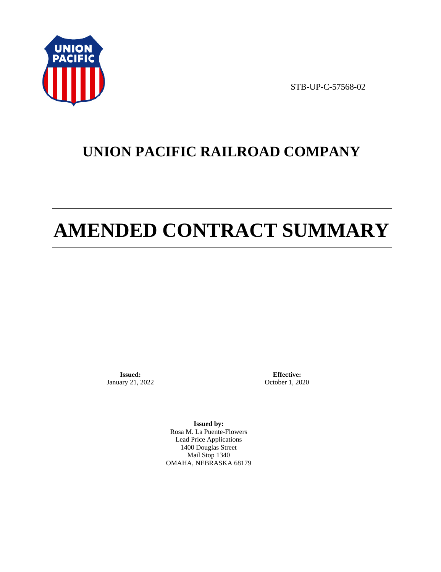

STB-UP-C-57568-02

# **UNION PACIFIC RAILROAD COMPANY**

# **AMENDED CONTRACT SUMMARY**

**Issued:**  January 21, 2022

**Effective:** October 1, 2020

**Issued by:**  Rosa M. La Puente-Flowers Lead Price Applications 1400 Douglas Street Mail Stop 1340 OMAHA, NEBRASKA 68179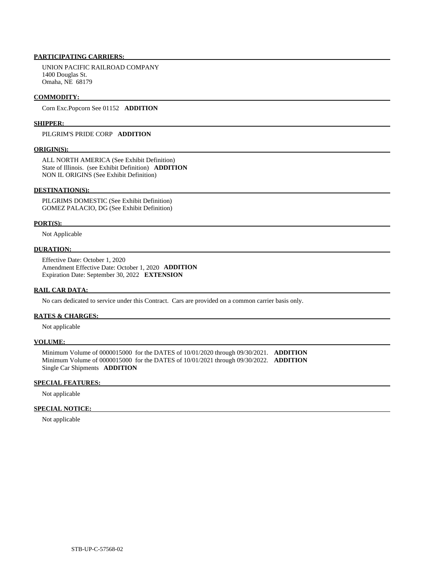# **PARTICIPATING CARRIERS:**

 UNION PACIFIC RAILROAD COMPANY 1400 Douglas St. Omaha, NE 68179

#### **COMMODITY:**

Corn Exc.Popcorn See 01152 **ADDITION** 

#### **SHIPPER:**

# PILGRIM'S PRIDE CORP **ADDITION**

#### **ORIGIN(S):**

 ALL NORTH AMERICA (See Exhibit Definition) State of Illinois. (see Exhibit Definition) **ADDITION**  NON IL ORIGINS (See Exhibit Definition)

#### **DESTINATION(S):**

 PILGRIMS DOMESTIC (See Exhibit Definition) GOMEZ PALACIO, DG (See Exhibit Definition)

#### **PORT(S):**

Not Applicable

#### **DURATION:**

 Effective Date: October 1, 2020 Amendment Effective Date: October 1, 2020 **ADDITION**  Expiration Date: September 30, 2022 **EXTENSION** 

#### **RAIL CAR DATA:**

No cars dedicated to service under this Contract. Cars are provided on a common carrier basis only.

#### **RATES & CHARGES:**

Not applicable

#### **VOLUME:**

 Minimum Volume of 0000015000 for the DATES of 10/01/2020 through 09/30/2021. **ADDITION**  Minimum Volume of 0000015000 for the DATES of 10/01/2021 through 09/30/2022. **ADDITION**  Single Car Shipments **ADDITION** 

#### **SPECIAL FEATURES:**

Not applicable

#### **SPECIAL NOTICE:**

Not applicable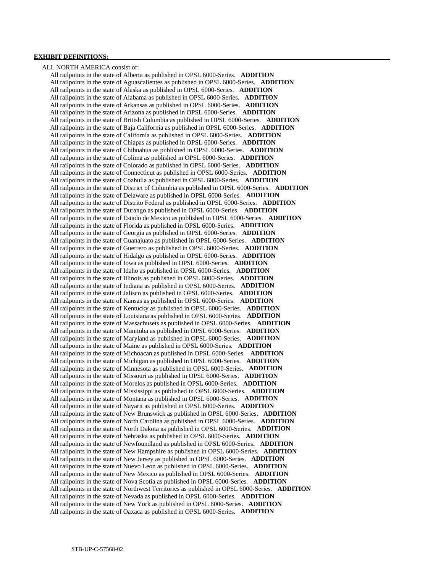### **EXHIBIT DEFINITIONS:**

 ALL NORTH AMERICA consist of: All railpoints in the state of Alberta as published in OPSL 6000-Series. **ADDITION**  All railpoints in the state of Aguascalientes as published in OPSL 6000-Series. **ADDITION**  All railpoints in the state of Alaska as published in OPSL 6000-Series. **ADDITION**  All railpoints in the state of Alabama as published in OPSL 6000-Series. **ADDITION**  All railpoints in the state of Arkansas as published in OPSL 6000-Series. **ADDITION**  All railpoints in the state of Arizona as published in OPSL 6000-Series. **ADDITION**  All railpoints in the state of British Columbia as published in OPSL 6000-Series. **ADDITION**  All railpoints in the state of Baja California as published in OPSL 6000-Series. **ADDITION**  All railpoints in the state of California as published in OPSL 6000-Series. **ADDITION**  All railpoints in the state of Chiapas as published in OPSL 6000-Series. **ADDITION**  All railpoints in the state of Chihuahua as published in OPSL 6000-Series. **ADDITION**  All railpoints in the state of Colima as published in OPSL 6000-Series. **ADDITION**  All railpoints in the state of Colorado as published in OPSL 6000-Series. **ADDITION**  All railpoints in the state of Connecticut as published in OPSL 6000-Series. **ADDITION**  All railpoints in the state of Coahuila as published in OPSL 6000-Series. **ADDITION**  All railpoints in the state of District of Columbia as published in OPSL 6000-Series. **ADDITION**  All railpoints in the state of Delaware as published in OPSL 6000-Series. **ADDITION**  All railpoints in the state of Distrito Federal as published in OPSL 6000-Series. **ADDITION**  All railpoints in the state of Durango as published in OPSL 6000-Series. **ADDITION**  All railpoints in the state of Estado de Mexico as published in OPSL 6000-Series. **ADDITION**  All railpoints in the state of Florida as published in OPSL 6000-Series. **ADDITION**  All railpoints in the state of Georgia as published in OPSL 6000-Series. **ADDITION**  All railpoints in the state of Guanajuato as published in OPSL 6000-Series. **ADDITION**  All railpoints in the state of Guerrero as published in OPSL 6000-Series. **ADDITION**  All railpoints in the state of Hidalgo as published in OPSL 6000-Series. **ADDITION**  All railpoints in the state of Iowa as published in OPSL 6000-Series. **ADDITION**  All railpoints in the state of Idaho as published in OPSL 6000-Series. **ADDITION**  All railpoints in the state of Illinois as published in OPSL 6000-Series. **ADDITION**  All railpoints in the state of Indiana as published in OPSL 6000-Series. **ADDITION**  All railpoints in the state of Jalisco as published in OPSL 6000-Series. **ADDITION**  All railpoints in the state of Kansas as published in OPSL 6000-Series. **ADDITION**  All railpoints in the state of Kentucky as published in OPSL 6000-Series. **ADDITION**  All railpoints in the state of Louisiana as published in OPSL 6000-Series. **ADDITION**  All railpoints in the state of Massachusets as published in OPSL 6000-Series. **ADDITION**  All railpoints in the state of Manitoba as published in OPSL 6000-Series. **ADDITION**  All railpoints in the state of Maryland as published in OPSL 6000-Series. **ADDITION**  All railpoints in the state of Maine as published in OPSL 6000-Series. **ADDITION**  All railpoints in the state of Michoacan as published in OPSL 6000-Series. **ADDITION**  All railpoints in the state of Michigan as published in OPSL 6000-Series. **ADDITION**  All railpoints in the state of Minnesota as published in OPSL 6000-Series. **ADDITION**  All railpoints in the state of Missouri as published in OPSL 6000-Series. **ADDITION**  All railpoints in the state of Morelos as published in OPSL 6000-Series. **ADDITION**  All railpoints in the state of Mississippi as published in OPSL 6000-Series. **ADDITION**  All railpoints in the state of Montana as published in OPSL 6000-Series. **ADDITION**  All railpoints in the state of Nayarit as published in OPSL 6000-Series. **ADDITION**  All railpoints in the state of New Brunswick as published in OPSL 6000-Series. **ADDITION**  All railpoints in the state of North Carolina as published in OPSL 6000-Series. **ADDITION**  All railpoints in the state of North Dakota as published in OPSL 6000-Series. **ADDITION**  All railpoints in the state of Nebraska as published in OPSL 6000-Series. **ADDITION**  All railpoints in the state of Newfoundland as published in OPSL 6000-Series. **ADDITION**  All railpoints in the state of New Hampshire as published in OPSL 6000-Series. **ADDITION**  All railpoints in the state of New Jersey as published in OPSL 6000-Series. **ADDITION**  All railpoints in the state of Nuevo Leon as published in OPSL 6000-Series. **ADDITION**  All railpoints in the state of New Mexico as published in OPSL 6000-Series. **ADDITION**  All railpoints in the state of Nova Scotia as published in OPSL 6000-Series. **ADDITION**  All railpoints in the state of Northwest Territories as published in OPSL 6000-Series. **ADDITION**  All railpoints in the state of Nevada as published in OPSL 6000-Series. **ADDITION**  All railpoints in the state of New York as published in OPSL 6000-Series. **ADDITION**  All railpoints in the state of Oaxaca as published in OPSL 6000-Series. **ADDITION**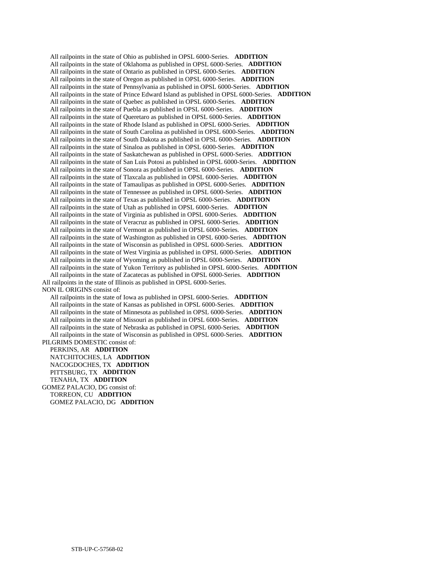All railpoints in the state of Ohio as published in OPSL 6000-Series. **ADDITION**  All railpoints in the state of Oklahoma as published in OPSL 6000-Series. **ADDITION**  All railpoints in the state of Ontario as published in OPSL 6000-Series. **ADDITION**  All railpoints in the state of Oregon as published in OPSL 6000-Series. **ADDITION**  All railpoints in the state of Pennsylvania as published in OPSL 6000-Series. **ADDITION**  All railpoints in the state of Prince Edward Island as published in OPSL 6000-Series. **ADDITION**  All railpoints in the state of Quebec as published in OPSL 6000-Series. **ADDITION**  All railpoints in the state of Puebla as published in OPSL 6000-Series. **ADDITION**  All railpoints in the state of Queretaro as published in OPSL 6000-Series. **ADDITION**  All railpoints in the state of Rhode Island as published in OPSL 6000-Series. **ADDITION**  All railpoints in the state of South Carolina as published in OPSL 6000-Series. **ADDITION**  All railpoints in the state of South Dakota as published in OPSL 6000-Series. **ADDITION**  All railpoints in the state of Sinaloa as published in OPSL 6000-Series. **ADDITION**  All railpoints in the state of Saskatchewan as published in OPSL 6000-Series. **ADDITION**  All railpoints in the state of San Luis Potosi as published in OPSL 6000-Series. **ADDITION**  All railpoints in the state of Sonora as published in OPSL 6000-Series. **ADDITION**  All railpoints in the state of Tlaxcala as published in OPSL 6000-Series. **ADDITION**  All railpoints in the state of Tamaulipas as published in OPSL 6000-Series. **ADDITION**  All railpoints in the state of Tennessee as published in OPSL 6000-Series. **ADDITION**  All railpoints in the state of Texas as published in OPSL 6000-Series. **ADDITION**  All railpoints in the state of Utah as published in OPSL 6000-Series. **ADDITION**  All railpoints in the state of Virginia as published in OPSL 6000-Series. **ADDITION**  All railpoints in the state of Veracruz as published in OPSL 6000-Series. **ADDITION**  All railpoints in the state of Vermont as published in OPSL 6000-Series. **ADDITION**  All railpoints in the state of Washington as published in OPSL 6000-Series. **ADDITION**  All railpoints in the state of Wisconsin as published in OPSL 6000-Series. **ADDITION**  All railpoints in the state of West Virginia as published in OPSL 6000-Series. **ADDITION**  All railpoints in the state of Wyoming as published in OPSL 6000-Series. **ADDITION**  All railpoints in the state of Yukon Territory as published in OPSL 6000-Series. **ADDITION**  All railpoints in the state of Zacatecas as published in OPSL 6000-Series. **ADDITION**  All railpoints in the state of Illinois as published in OPSL 6000-Series. NON IL ORIGINS consist of: All railpoints in the state of Iowa as published in OPSL 6000-Series. **ADDITION** 

 All railpoints in the state of Kansas as published in OPSL 6000-Series. **ADDITION**  All railpoints in the state of Minnesota as published in OPSL 6000-Series. **ADDITION**  All railpoints in the state of Missouri as published in OPSL 6000-Series. **ADDITION**  All railpoints in the state of Nebraska as published in OPSL 6000-Series. **ADDITION**  All railpoints in the state of Wisconsin as published in OPSL 6000-Series. **ADDITION**  PILGRIMS DOMESTIC consist of:

 PERKINS, AR **ADDITION**  NATCHITOCHES, LA **ADDITION**  NACOGDOCHES, TX **ADDITION**  PITTSBURG, TX **ADDITION**  TENAHA, TX **ADDITION**  GOMEZ PALACIO, DG consist of: TORREON, CU **ADDITION**  GOMEZ PALACIO, DG **ADDITION**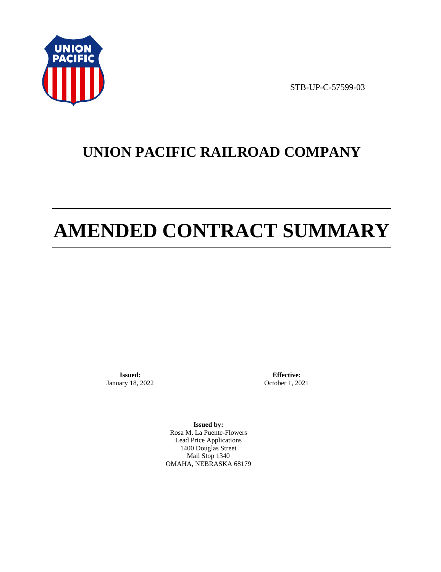

STB-UP-C-57599-03

# **UNION PACIFIC RAILROAD COMPANY**

# **AMENDED CONTRACT SUMMARY**

**Issued:**  January 18, 2022

**Effective:** October 1, 2021

**Issued by:**  Rosa M. La Puente-Flowers Lead Price Applications 1400 Douglas Street Mail Stop 1340 OMAHA, NEBRASKA 68179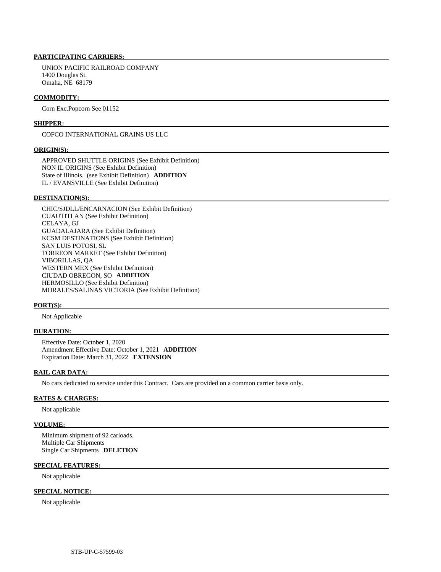#### **PARTICIPATING CARRIERS:**

 UNION PACIFIC RAILROAD COMPANY 1400 Douglas St. Omaha, NE 68179

#### **COMMODITY:**

Corn Exc.Popcorn See 01152

#### **SHIPPER:**

COFCO INTERNATIONAL GRAINS US LLC

#### **ORIGIN(S):**

 APPROVED SHUTTLE ORIGINS (See Exhibit Definition) NON IL ORIGINS (See Exhibit Definition) State of Illinois. (see Exhibit Definition) **ADDITION**  IL / EVANSVILLE (See Exhibit Definition)

#### **DESTINATION(S):**

 CHIC/SJDLL/ENCARNACION (See Exhibit Definition) CUAUTITLAN (See Exhibit Definition) CELAYA, GJ GUADALAJARA (See Exhibit Definition) KCSM DESTINATIONS (See Exhibit Definition) SAN LUIS POTOSI, SL TORREON MARKET (See Exhibit Definition) VIBORILLAS, QA WESTERN MEX (See Exhibit Definition) CIUDAD OBREGON, SO **ADDITION**  HERMOSILLO (See Exhibit Definition) MORALES/SALINAS VICTORIA (See Exhibit Definition)

#### **PORT(S):**

Not Applicable

#### **DURATION:**

 Effective Date: October 1, 2020 Amendment Effective Date: October 1, 2021 **ADDITION**  Expiration Date: March 31, 2022 **EXTENSION** 

#### **RAIL CAR DATA:**

No cars dedicated to service under this Contract. Cars are provided on a common carrier basis only.

#### **RATES & CHARGES:**

Not applicable

#### **VOLUME:**

 Minimum shipment of 92 carloads. Multiple Car Shipments Single Car Shipments **DELETION** 

#### **SPECIAL FEATURES:**

Not applicable

#### **SPECIAL NOTICE:**

Not applicable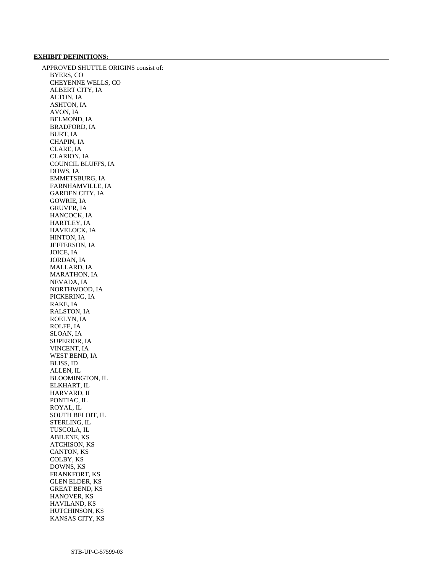#### **EXHIBIT DEFINITIONS:**

 APPROVED SHUTTLE ORIGINS consist of: BYERS, CO CHEYENNE WELLS, CO ALBERT CITY, IA ALTON, IA ASHTON, IA AVON, IA BELMOND, IA BRADFORD, IA BURT, IA CHAPIN, IA CLARE, IA CLARION, IA COUNCIL BLUFFS, IA DOWS, IA EMMETSBURG, IA FARNHAMVILLE, IA GARDEN CITY, IA GOWRIE, IA GRUVER, IA HANCOCK, IA HARTLEY, IA HAVELOCK, IA HINTON, IA JEFFERSON, IA JOICE, IA JORDAN, IA MALLARD, IA MARATHON, IA NEVADA, IA NORTHWOOD, IA PICKERING, IA RAKE, IA RALSTON, IA ROELYN, IA ROLFE, IA SLOAN, IA SUPERIOR, IA VINCENT, IA WEST BEND, IA BLISS, ID ALLEN, IL BLOOMINGTON, IL ELKHART, IL HARVARD, IL PONTIAC, IL ROYAL, IL SOUTH BELOIT, IL STERLING, IL TUSCOLA, IL ABILENE, KS ATCHISON, KS CANTON, KS COLBY, KS DOWNS, KS FRANKFORT, KS GLEN ELDER, KS GREAT BEND, KS HANOVER, KS HAVILAND, KS HUTCHINSON, KS KANSAS CITY, KS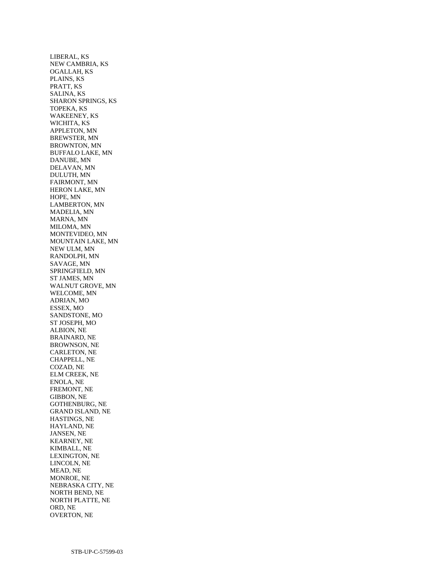LIBERAL, KS NEW CAMBRIA, KS OGALLAH, KS PLAINS, KS PRATT, KS SALINA, KS SHARON SPRINGS, KS TOPEKA, KS WAKEENEY, KS WICHITA, KS APPLETON, MN BREWSTER, MN BROWNTON, MN BUFFALO LAKE, MN DANUBE, MN DELAVAN, MN DULUTH, MN FAIRMONT, MN HERON LAKE, MN HOPE, MN LAMBERTON, MN MADELIA, MN MARNA, MN MILOMA, MN MONTEVIDEO, MN MOUNTAIN LAKE, MN NEW ULM, MN RANDOLPH, MN SAVAGE, MN SPRINGFIELD, MN ST JAMES, MN WALNUT GROVE, MN WELCOME, MN ADRIAN, MO ESSEX, MO SANDSTONE, MO ST JOSEPH, MO ALBION, NE BRAINARD, NE BROWNSON, NE CARLETON, NE CHAPPELL, NE COZAD, NE ELM CREEK, NE ENOLA, NE FREMONT, NE GIBBON, NE GOTHENBURG, NE GRAND ISLAND, NE HASTINGS, NE HAYLAND, NE JANSEN, NE KEARNEY, NE KIMBALL, NE LEXINGTON, NE LINCOLN, NE MEAD, NE MONROE, NE NEBRASKA CITY, NE NORTH BEND, NE NORTH PLATTE, NE ORD, NE OVERTON, NE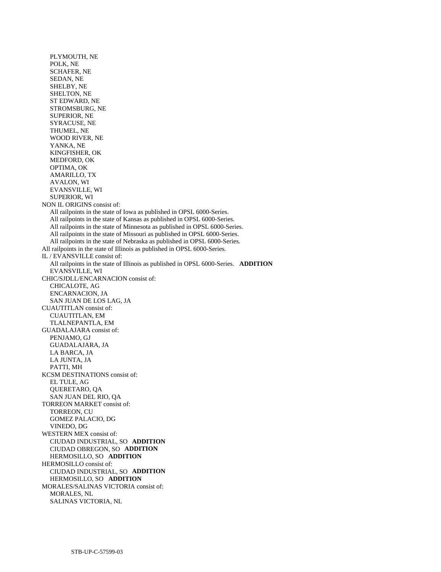PLYMOUTH, NE POLK, NE SCHAFER, NE SEDAN, NE SHELBY, NE SHELTON, NE ST EDWARD, NE STROMSBURG, NE SUPERIOR, NE SYRACUSE, NE THUMEL, NE WOOD RIVER, NE YANKA, NE KINGFISHER, OK MEDFORD, OK OPTIMA, OK AMARILLO, TX AVALON, WI EVANSVILLE, WI SUPERIOR, WI NON IL ORIGINS consist of: All railpoints in the state of Iowa as published in OPSL 6000-Series. All railpoints in the state of Kansas as published in OPSL 6000-Series. All railpoints in the state of Minnesota as published in OPSL 6000-Series. All railpoints in the state of Missouri as published in OPSL 6000-Series. All railpoints in the state of Nebraska as published in OPSL 6000-Series. All railpoints in the state of Illinois as published in OPSL 6000-Series. IL / EVANSVILLE consist of: All railpoints in the state of Illinois as published in OPSL 6000-Series. **ADDITION**  EVANSVILLE, WI CHIC/SJDLL/ENCARNACION consist of: CHICALOTE, AG ENCARNACION, JA SAN JUAN DE LOS LAG, JA CUAUTITLAN consist of: CUAUTITLAN, EM TLALNEPANTLA, EM GUADALAJARA consist of: PENJAMO, GJ GUADALAJARA, JA LA BARCA, JA LA JUNTA, JA PATTI, MH KCSM DESTINATIONS consist of: EL TULE, AG QUERETARO, QA SAN JUAN DEL RIO, QA TORREON MARKET consist of: TORREON, CU GOMEZ PALACIO, DG VINEDO, DG WESTERN MEX consist of: CIUDAD INDUSTRIAL, SO **ADDITION**  CIUDAD OBREGON, SO **ADDITION**  HERMOSILLO, SO **ADDITION**  HERMOSILLO consist of: CIUDAD INDUSTRIAL, SO **ADDITION**  HERMOSILLO, SO **ADDITION**  MORALES/SALINAS VICTORIA consist of: MORALES, NL SALINAS VICTORIA, NL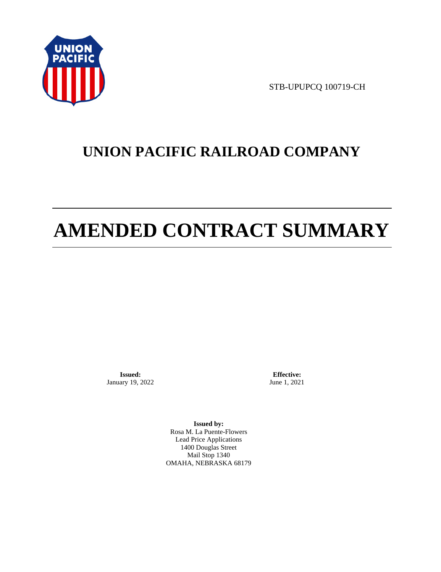

STB-UPUPCQ 100719-CH

# **UNION PACIFIC RAILROAD COMPANY**

# **AMENDED CONTRACT SUMMARY**

**Issued:**  January 19, 2022

**Effective:** June 1, 2021

**Issued by:**  Rosa M. La Puente-Flowers Lead Price Applications 1400 Douglas Street Mail Stop 1340 OMAHA, NEBRASKA 68179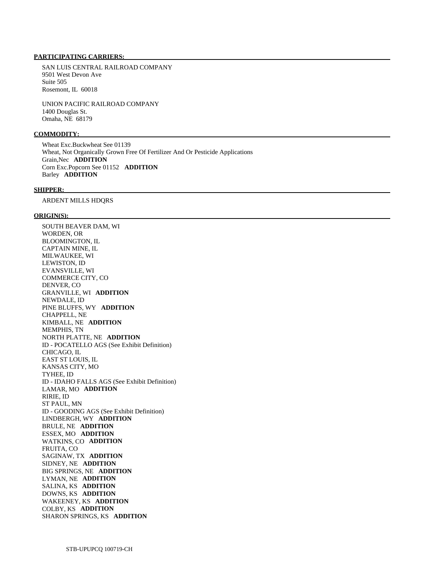#### **PARTICIPATING CARRIERS:**

 SAN LUIS CENTRAL RAILROAD COMPANY 9501 West Devon Ave Suite 505 Rosemont, IL 60018

 UNION PACIFIC RAILROAD COMPANY 1400 Douglas St. Omaha, NE 68179

# **COMMODITY:**

 Wheat Exc.Buckwheat See 01139 Wheat, Not Organically Grown Free Of Fertilizer And Or Pesticide Applications Grain,Nec **ADDITION**  Corn Exc.Popcorn See 01152 **ADDITION**  Barley **ADDITION** 

#### **SHIPPER:**

ARDENT MILLS HDQRS

#### **ORIGIN(S):**

 SOUTH BEAVER DAM, WI WORDEN, OR BLOOMINGTON, IL CAPTAIN MINE, IL MILWAUKEE, WI LEWISTON, ID EVANSVILLE, WI COMMERCE CITY, CO DENVER, CO GRANVILLE, WI **ADDITION**  NEWDALE, ID PINE BLUFFS, WY **ADDITION**  CHAPPELL, NE KIMBALL, NE **ADDITION**  MEMPHIS, TN NORTH PLATTE, NE **ADDITION**  ID - POCATELLO AGS (See Exhibit Definition) CHICAGO, IL EAST ST LOUIS, IL KANSAS CITY, MO TYHEE, ID ID - IDAHO FALLS AGS (See Exhibit Definition) LAMAR, MO **ADDITION**  RIRIE, ID ST PAUL, MN ID - GOODING AGS (See Exhibit Definition) LINDBERGH, WY **ADDITION**  BRULE, NE **ADDITION**  ESSEX, MO **ADDITION**  WATKINS, CO **ADDITION**  FRUITA, CO SAGINAW, TX **ADDITION**  SIDNEY, NE **ADDITION**  BIG SPRINGS, NE **ADDITION**  LYMAN, NE **ADDITION**  SALINA, KS **ADDITION**  DOWNS, KS **ADDITION**  WAKEENEY, KS **ADDITION**  COLBY, KS **ADDITION**  SHARON SPRINGS, KS **ADDITION**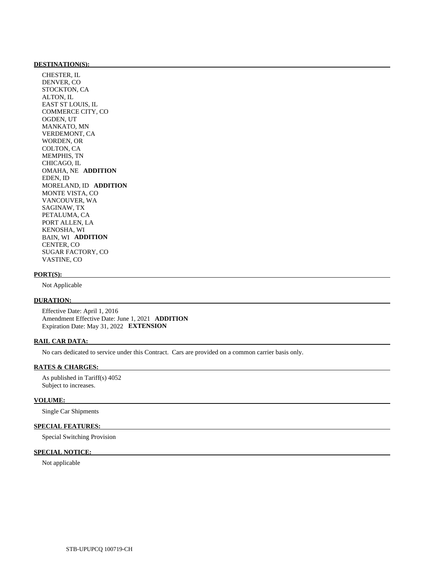#### **DESTINATION(S):**

 CHESTER, IL DENVER, CO STOCKTON, CA ALTON, IL EAST ST LOUIS, IL COMMERCE CITY, CO OGDEN, UT MANKATO, MN VERDEMONT, CA WORDEN, OR COLTON, CA MEMPHIS, TN CHICAGO, IL OMAHA, NE **ADDITION**  EDEN, ID MORELAND, ID **ADDITION**  MONTE VISTA, CO VANCOUVER, WA SAGINAW, TX PETALUMA, CA PORT ALLEN, LA KENOSHA, WI BAIN, WI **ADDITION**  CENTER, CO SUGAR FACTORY, CO VASTINE, CO

#### **PORT(S):**

Not Applicable

#### **DURATION:**

 Effective Date: April 1, 2016 Amendment Effective Date: June 1, 2021 **ADDITION**  Expiration Date: May 31, 2022 **EXTENSION** 

#### **RAIL CAR DATA:**

No cars dedicated to service under this Contract. Cars are provided on a common carrier basis only.

### **RATES & CHARGES:**

 As published in Tariff(s) 4052 Subject to increases.

#### **VOLUME:**

Single Car Shipments

# **SPECIAL FEATURES:**

Special Switching Provision

### **SPECIAL NOTICE:**

Not applicable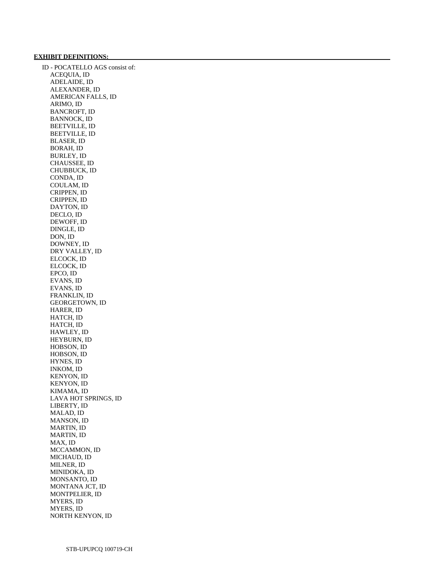#### **EXHIBIT DEFINITIONS:**

 ID - POCATELLO AGS consist of: ACEQUIA, ID ADELAIDE, ID ALEXANDER, ID AMERICAN FALLS, ID ARIMO, ID BANCROFT, ID BANNOCK, ID BEETVILLE, ID BEETVILLE, ID BLASER, ID BORAH, ID BURLEY, ID CHAUSSEE, ID CHUBBUCK, ID CONDA, ID COULAM, ID CRIPPEN, ID CRIPPEN, ID DAYTON, ID DECLO, ID DEWOFF, ID DINGLE, ID DON, ID DOWNEY, ID DRY VALLEY, ID ELCOCK, ID ELCOCK, ID EPCO, ID EVANS, ID EVANS, ID FRANKLIN, ID GEORGETOWN, ID HARER, ID HATCH, ID HATCH, ID HAWLEY, ID HEYBURN, ID HOBSON, ID HOBSON, ID HYNES, ID INKOM, ID KENYON, ID KENYON, ID KIMAMA, ID LAVA HOT SPRINGS, ID LIBERTY, ID MALAD, ID MANSON, ID MARTIN, ID MARTIN, ID MAX, ID MCCAMMON, ID MICHAUD, ID MILNER, ID MINIDOKA, ID MONSANTO, ID MONTANA JCT, ID MONTPELIER, ID MYERS, ID MYERS, ID NORTH KENYON, ID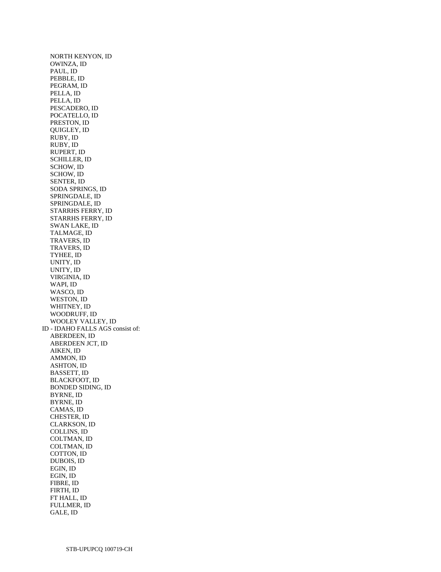NORTH KENYON, ID OWINZA, ID PAUL, ID PEBBLE, ID PEGRAM, ID PELLA, ID PELLA, ID PESCADERO, ID POCATELLO, ID PRESTON, ID QUIGLEY, ID RUBY, ID RUBY, ID RUPERT, ID SCHILLER, ID SCHOW, ID SCHOW, ID SENTER, ID SODA SPRINGS, ID SPRINGDALE, ID SPRINGDALE, ID STARRHS FERRY, ID STARRHS FERRY, ID SWAN LAKE, ID TALMAGE, ID TRAVERS, ID TRAVERS, ID TYHEE, ID UNITY, ID UNITY, ID VIRGINIA, ID WAPI, ID WASCO, ID WESTON, ID WHITNEY, ID WOODRUFF, ID WOOLEY VALLEY, ID ID - IDAHO FALLS AGS consist of: ABERDEEN, ID ABERDEEN JCT, ID AIKEN, ID AMMON, ID ASHTON, ID BASSETT, ID BLACKFOOT, ID BONDED SIDING, ID BYRNE, ID BYRNE, ID CAMAS, ID CHESTER, ID CLARKSON, ID COLLINS, ID COLTMAN, ID COLTMAN, ID COTTON, ID DUBOIS, ID EGIN, ID EGIN, ID FIBRE, ID FIRTH, ID FT HALL, ID FULLMER, ID GALE, ID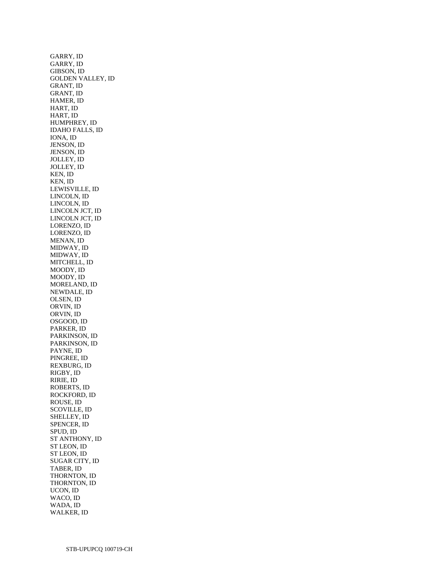GARRY, ID GARRY, ID GIBSON, ID GOLDEN VALLEY, ID GRANT, ID GRANT, ID HAMER, ID HART, ID HART, ID HUMPHREY, ID IDAHO FALLS, ID IONA, ID JENSON, ID JENSON, ID JOLLEY, ID JOLLEY, ID KEN, ID KEN, ID LEWISVILLE, ID LINCOLN, ID LINCOLN, ID LINCOLN JCT, ID LINCOLN JCT, ID LORENZO, ID LORENZO, ID MENAN, ID MIDWAY, ID MIDWAY, ID MITCHELL, ID MOODY, ID MOODY, ID MORELAND, ID NEWDALE, ID OLSEN, ID ORVIN, ID ORVIN, ID OSGOOD, ID PARKER, ID PARKINSON, ID PARKINSON, ID PAYNE, ID PINGREE, ID REXBURG, ID RIGBY, ID RIRIE, ID ROBERTS, ID ROCKFORD, ID ROUSE, ID SCOVILLE, ID SHELLEY, ID SPENCER, ID SPUD, ID ST ANTHONY, ID ST LEON, ID ST LEON, ID SUGAR CITY, ID TABER, ID THORNTON, ID THORNTON, ID UCON, ID WACO, ID WADA, ID WALKER, ID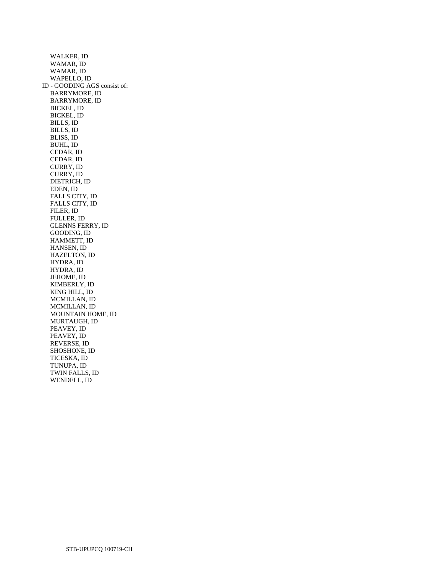WALKER, ID WAMAR, ID WAMAR, ID WAPELLO, ID ID - GOODING AGS consist of: BARRYMORE, ID BARRYMORE, ID BICKEL, ID BICKEL, ID BILLS, ID BILLS, ID BLISS, ID BUHL, ID CEDAR, ID CEDAR, ID CURRY, ID CURRY, ID DIETRICH, ID EDEN, ID FALLS CITY, ID FALLS CITY, ID FILER, ID FULLER, ID GLENNS FERRY, ID GOODING, ID HAMMETT, ID HANSEN, ID HAZELTON, ID HYDRA, ID HYDRA, ID JEROME, ID KIMBERLY, ID KING HILL, ID MCMILLAN, ID MCMILLAN, ID MOUNTAIN HOME, ID MURTAUGH, ID PEAVEY, ID PEAVEY, ID REVERSE, ID SHOSHONE, ID TICESKA, ID TUNUPA, ID TWIN FALLS, ID WENDELL, ID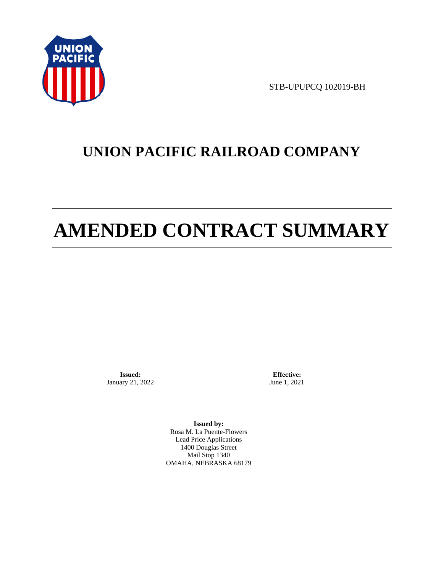

STB-UPUPCQ 102019-BH

# **UNION PACIFIC RAILROAD COMPANY**

# **AMENDED CONTRACT SUMMARY**

**Issued:**  January 21, 2022

**Effective:** June 1, 2021

**Issued by:**  Rosa M. La Puente-Flowers Lead Price Applications 1400 Douglas Street Mail Stop 1340 OMAHA, NEBRASKA 68179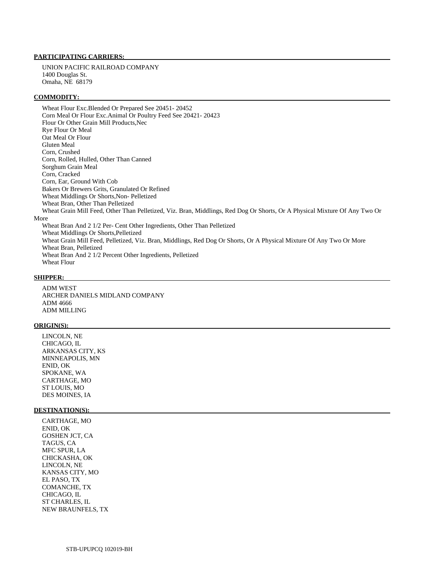## **PARTICIPATING CARRIERS:**

 UNION PACIFIC RAILROAD COMPANY 1400 Douglas St. Omaha, NE 68179

#### **COMMODITY:**

 Wheat Flour Exc.Blended Or Prepared See 20451- 20452 Corn Meal Or Flour Exc.Animal Or Poultry Feed See 20421- 20423 Flour Or Other Grain Mill Products,Nec Rye Flour Or Meal Oat Meal Or Flour Gluten Meal Corn, Crushed Corn, Rolled, Hulled, Other Than Canned Sorghum Grain Meal Corn, Cracked Corn, Ear, Ground With Cob Bakers Or Brewers Grits, Granulated Or Refined Wheat Middlings Or Shorts,Non- Pelletized Wheat Bran, Other Than Pelletized Wheat Grain Mill Feed, Other Than Pelletized, Viz. Bran, Middlings, Red Dog Or Shorts, Or A Physical Mixture Of Any Two Or More Wheat Bran And 2 1/2 Per- Cent Other Ingredients, Other Than Pelletized Wheat Middlings Or Shorts,Pelletized Wheat Grain Mill Feed, Pelletized, Viz. Bran, Middlings, Red Dog Or Shorts, Or A Physical Mixture Of Any Two Or More Wheat Bran, Pelletized Wheat Bran And 2 1/2 Percent Other Ingredients, Pelletized

Wheat Flour

## **SHIPPER:**

 ADM WEST ARCHER DANIELS MIDLAND COMPANY ADM 4666 ADM MILLING

#### **ORIGIN(S):**

 LINCOLN, NE CHICAGO, IL ARKANSAS CITY, KS MINNEAPOLIS, MN ENID, OK SPOKANE, WA CARTHAGE, MO ST LOUIS, MO DES MOINES, IA

#### **DESTINATION(S):**

 CARTHAGE, MO ENID, OK GOSHEN JCT, CA TAGUS, CA MFC SPUR, LA CHICKASHA, OK LINCOLN, NE KANSAS CITY, MO EL PASO, TX COMANCHE, TX CHICAGO, IL ST CHARLES, IL NEW BRAUNFELS, TX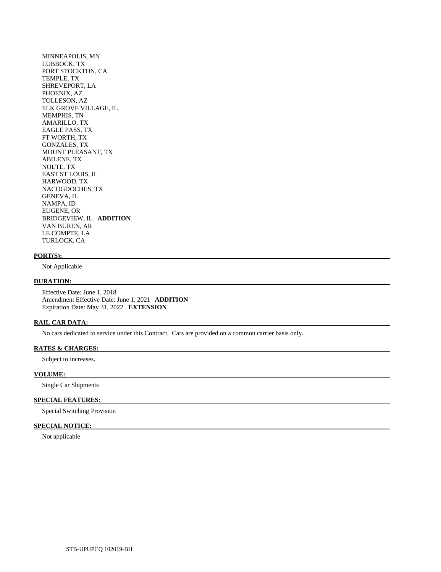MINNEAPOLIS, MN LUBBOCK, TX PORT STOCKTON, CA TEMPLE, TX SHREVEPORT, LA PHOENIX, AZ TOLLESON, AZ ELK GROVE VILLAGE, IL MEMPHIS, TN AMARILLO, TX EAGLE PASS, TX FT WORTH, TX GONZALES, TX MOUNT PLEASANT, TX ABILENE, TX NOLTE, TX EAST ST LOUIS, IL HARWOOD, TX NACOGDOCHES, TX GENEVA, IL NAMPA, ID EUGENE, OR BRIDGEVIEW, IL **ADDITION**  VAN BUREN, AR LE COMPTE, LA TURLOCK, CA

# **PORT(S):**

Not Applicable

#### **DURATION:**

 Effective Date: June 1, 2018 Amendment Effective Date: June 1, 2021 **ADDITION**  Expiration Date: May 31, 2022 **EXTENSION** 

### **RAIL CAR DATA:**

No cars dedicated to service under this Contract. Cars are provided on a common carrier basis only.

#### **RATES & CHARGES:**

Subject to increases.

# **VOLUME:**

Single Car Shipments

## **SPECIAL FEATURES:**

Special Switching Provision

# **SPECIAL NOTICE:**

Not applicable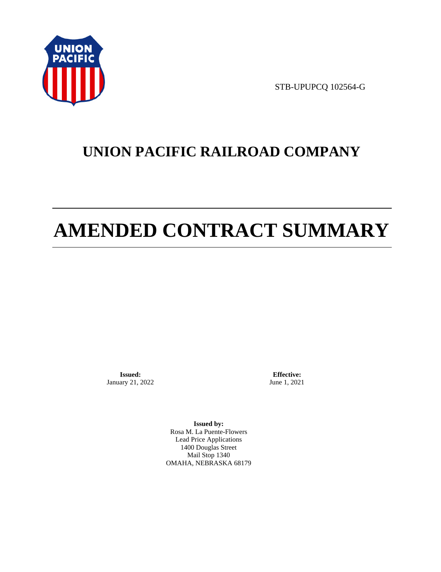

STB-UPUPCQ 102564-G

# **UNION PACIFIC RAILROAD COMPANY**

# **AMENDED CONTRACT SUMMARY**

**Issued:**  January 21, 2022

**Effective:** June 1, 2021

**Issued by:**  Rosa M. La Puente-Flowers Lead Price Applications 1400 Douglas Street Mail Stop 1340 OMAHA, NEBRASKA 68179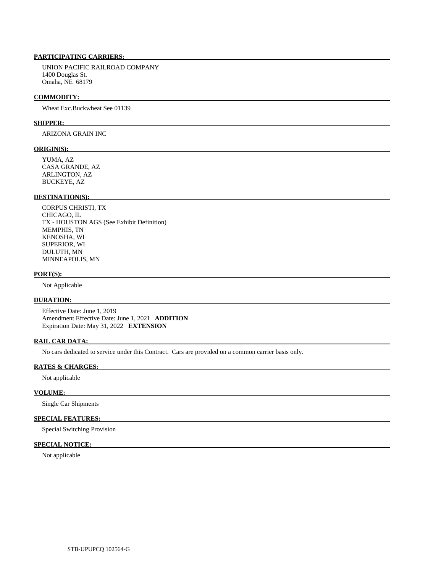# **PARTICIPATING CARRIERS:**

 UNION PACIFIC RAILROAD COMPANY 1400 Douglas St. Omaha, NE 68179

#### **COMMODITY:**

Wheat Exc.Buckwheat See 01139

#### **SHIPPER:**

ARIZONA GRAIN INC

#### **ORIGIN(S):**

 YUMA, AZ CASA GRANDE, AZ ARLINGTON, AZ BUCKEYE, AZ

## **DESTINATION(S):**

 CORPUS CHRISTI, TX CHICAGO, IL TX - HOUSTON AGS (See Exhibit Definition) MEMPHIS, TN KENOSHA, WI SUPERIOR, WI DULUTH, MN MINNEAPOLIS, MN

#### **PORT(S):**

Not Applicable

# **DURATION:**

 Effective Date: June 1, 2019 Amendment Effective Date: June 1, 2021 **ADDITION**  Expiration Date: May 31, 2022 **EXTENSION** 

#### **RAIL CAR DATA:**

No cars dedicated to service under this Contract. Cars are provided on a common carrier basis only.

### **RATES & CHARGES:**

Not applicable

#### **VOLUME:**

Single Car Shipments

# **SPECIAL FEATURES:**

Special Switching Provision

# **SPECIAL NOTICE:**

Not applicable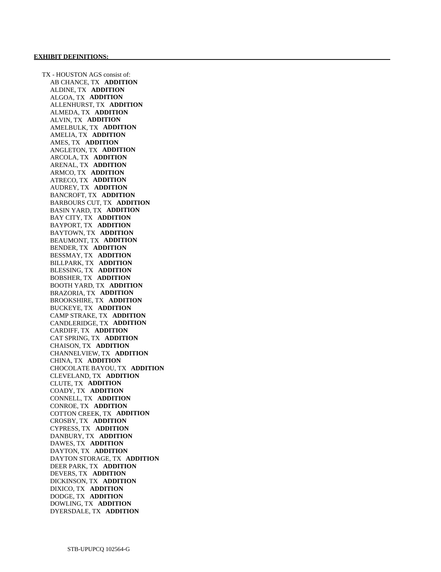TX - HOUSTON AGS consist of: AB CHANCE, TX **ADDITION**  ALDINE, TX **ADDITION**  ALGOA, TX **ADDITION**  ALLENHURST, TX **ADDITION**  ALMEDA, TX **ADDITION**  ALVIN, TX **ADDITION**  AMELBULK, TX **ADDITION**  AMELIA, TX **ADDITION**  AMES, TX **ADDITION**  ANGLETON, TX **ADDITION**  ARCOLA, TX **ADDITION**  ARENAL, TX **ADDITION**  ARMCO, TX **ADDITION**  ATRECO, TX **ADDITION**  AUDREY, TX **ADDITION**  BANCROFT, TX **ADDITION**  BARBOURS CUT, TX **ADDITION**  BASIN YARD, TX **ADDITION**  BAY CITY, TX **ADDITION**  BAYPORT, TX **ADDITION**  BAYTOWN, TX **ADDITION**  BEAUMONT, TX **ADDITION**  BENDER, TX **ADDITION**  BESSMAY, TX **ADDITION**  BILLPARK, TX **ADDITION**  BLESSING, TX **ADDITION**  BOBSHER, TX **ADDITION**  BOOTH YARD, TX **ADDITION**  BRAZORIA, TX **ADDITION**  BROOKSHIRE, TX **ADDITION**  BUCKEYE, TX **ADDITION**  CAMP STRAKE, TX **ADDITION**  CANDLERIDGE, TX **ADDITION**  CARDIFF, TX **ADDITION**  CAT SPRING, TX **ADDITION**  CHAISON, TX **ADDITION**  CHANNELVIEW, TX **ADDITION**  CHINA, TX **ADDITION**  CHOCOLATE BAYOU, TX **ADDITION**  CLEVELAND, TX **ADDITION**  CLUTE, TX **ADDITION**  COADY, TX **ADDITION**  CONNELL, TX **ADDITION**  CONROE, TX **ADDITION**  COTTON CREEK, TX **ADDITION**  CROSBY, TX **ADDITION**  CYPRESS, TX **ADDITION**  DANBURY, TX **ADDITION**  DAWES, TX **ADDITION**  DAYTON, TX **ADDITION**  DAYTON STORAGE, TX **ADDITION**  DEER PARK, TX **ADDITION**  DEVERS, TX **ADDITION**  DICKINSON, TX **ADDITION**  DIXICO, TX **ADDITION**  DODGE, TX **ADDITION**  DOWLING, TX **ADDITION**  DYERSDALE, TX **ADDITION**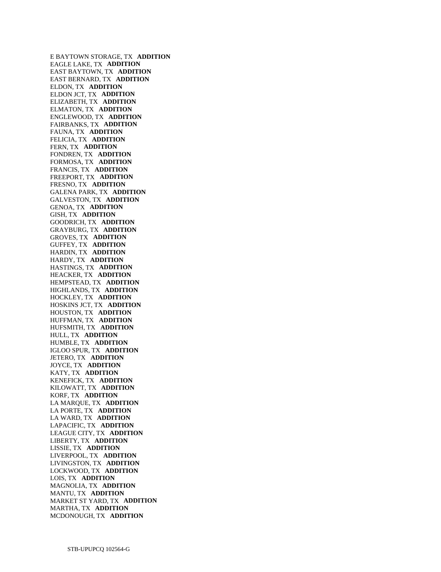E BAYTOWN STORAGE, TX **ADDITION**  EAGLE LAKE, TX **ADDITION**  EAST BAYTOWN, TX **ADDITION**  EAST BERNARD, TX **ADDITION**  ELDON, TX **ADDITION**  ELDON JCT, TX **ADDITION**  ELIZABETH, TX **ADDITION**  ELMATON, TX **ADDITION**  ENGLEWOOD, TX **ADDITION**  FAIRBANKS, TX **ADDITION**  FAUNA, TX **ADDITION**  FELICIA, TX **ADDITION**  FERN, TX **ADDITION**  FONDREN, TX **ADDITION**  FORMOSA, TX **ADDITION**  FRANCIS, TX **ADDITION**  FREEPORT, TX **ADDITION**  FRESNO, TX **ADDITION**  GALENA PARK, TX **ADDITION**  GALVESTON, TX **ADDITION**  GENOA, TX **ADDITION**  GISH, TX **ADDITION**  GOODRICH, TX **ADDITION**  GRAYBURG, TX **ADDITION**  GROVES, TX **ADDITION**  GUFFEY, TX **ADDITION**  HARDIN, TX **ADDITION**  HARDY, TX **ADDITION**  HASTINGS, TX **ADDITION**  HEACKER, TX **ADDITION**  HEMPSTEAD, TX **ADDITION**  HIGHLANDS, TX **ADDITION**  HOCKLEY, TX **ADDITION**  HOSKINS JCT, TX **ADDITION**  HOUSTON, TX **ADDITION**  HUFFMAN, TX **ADDITION**  HUFSMITH, TX **ADDITION**  HULL, TX **ADDITION**  HUMBLE, TX **ADDITION**  IGLOO SPUR, TX **ADDITION**  JETERO, TX **ADDITION**  JOYCE, TX **ADDITION**  KATY, TX **ADDITION**  KENEFICK, TX **ADDITION**  KILOWATT, TX **ADDITION**  KORF, TX **ADDITION**  LA MARQUE, TX **ADDITION**  LA PORTE, TX **ADDITION**  LA WARD, TX **ADDITION**  LAPACIFIC, TX **ADDITION**  LEAGUE CITY, TX **ADDITION**  LIBERTY, TX **ADDITION**  LISSIE, TX **ADDITION**  LIVERPOOL, TX **ADDITION**  LIVINGSTON, TX **ADDITION**  LOCKWOOD, TX **ADDITION**  LOIS, TX **ADDITION**  MAGNOLIA, TX **ADDITION**  MANTU, TX **ADDITION**  MARKET ST YARD, TX **ADDITION**  MARTHA, TX **ADDITION**  MCDONOUGH, TX **ADDITION**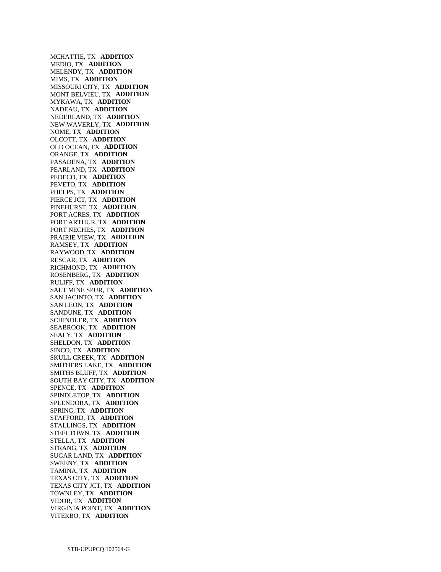MCHATTIE, TX **ADDITION**  MEDIO, TX **ADDITION**  MELENDY, TX **ADDITION**  MIMS, TX **ADDITION**  MISSOURI CITY, TX **ADDITION**  MONT BELVIEU, TX **ADDITION**  MYKAWA, TX **ADDITION**  NADEAU, TX **ADDITION**  NEDERLAND, TX **ADDITION**  NEW WAVERLY, TX **ADDITION**  NOME, TX **ADDITION**  OLCOTT, TX **ADDITION**  OLD OCEAN, TX **ADDITION**  ORANGE, TX **ADDITION**  PASADENA, TX **ADDITION**  PEARLAND, TX **ADDITION**  PEDECO, TX **ADDITION**  PEVETO, TX **ADDITION**  PHELPS, TX **ADDITION**  PIERCE JCT, TX **ADDITION**  PINEHURST, TX **ADDITION**  PORT ACRES, TX **ADDITION**  PORT ARTHUR, TX **ADDITION**  PORT NECHES, TX **ADDITION**  PRAIRIE VIEW, TX **ADDITION**  RAMSEY, TX **ADDITION**  RAYWOOD, TX **ADDITION**  RESCAR, TX **ADDITION**  RICHMOND, TX **ADDITION**  ROSENBERG, TX **ADDITION**  RULIFF, TX **ADDITION**  SALT MINE SPUR, TX **ADDITION**  SAN JACINTO, TX **ADDITION**  SAN LEON, TX **ADDITION**  SANDUNE, TX **ADDITION**  SCHINDLER, TX **ADDITION**  SEABROOK, TX **ADDITION**  SEALY, TX **ADDITION**  SHELDON, TX **ADDITION**  SINCO, TX **ADDITION**  SKULL CREEK, TX **ADDITION**  SMITHERS LAKE, TX **ADDITION**  SMITHS BLUFF, TX **ADDITION**  SOUTH BAY CITY, TX **ADDITION**  SPENCE, TX **ADDITION**  SPINDLETOP, TX **ADDITION**  SPLENDORA, TX **ADDITION**  SPRING, TX **ADDITION**  STAFFORD, TX **ADDITION**  STALLINGS, TX **ADDITION**  STEELTOWN, TX **ADDITION**  STELLA, TX **ADDITION**  STRANG, TX **ADDITION**  SUGAR LAND, TX **ADDITION**  SWEENY, TX **ADDITION**  TAMINA, TX **ADDITION**  TEXAS CITY, TX **ADDITION**  TEXAS CITY JCT, TX **ADDITION**  TOWNLEY, TX **ADDITION**  VIDOR, TX **ADDITION**  VIRGINIA POINT, TX **ADDITION**  VITERBO, TX **ADDITION**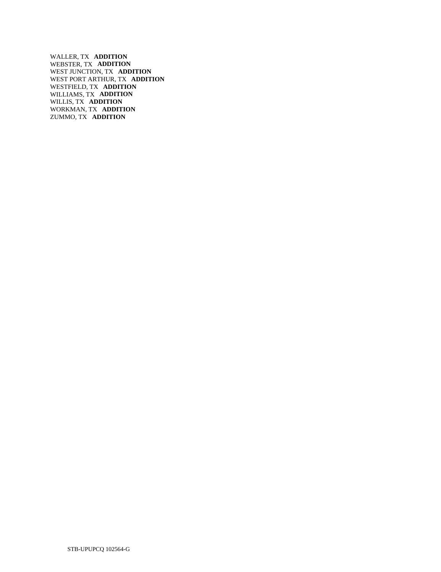WALLER, TX **ADDITION**  WEBSTER, TX **ADDITION**  WEST JUNCTION, TX **ADDITION**  WEST PORT ARTHUR, TX **ADDITION**  WESTFIELD, TX **ADDITION**  WILLIAMS, TX **ADDITION**  WILLIS, TX **ADDITION**  WORKMAN, TX **ADDITION**  ZUMMO, TX **ADDITION**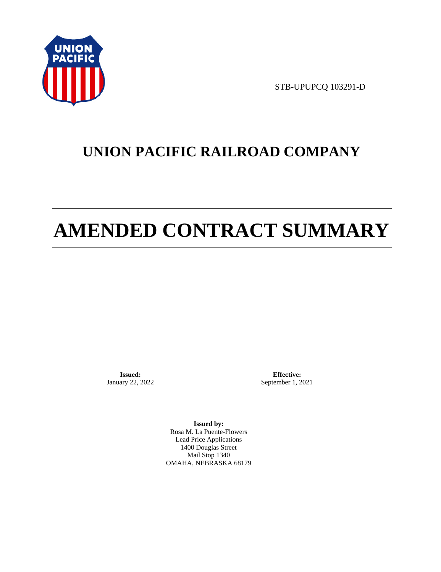

STB-UPUPCQ 103291-D

# **UNION PACIFIC RAILROAD COMPANY**

# **AMENDED CONTRACT SUMMARY**

**Issued:**  January 22, 2022

**Effective:** September 1, 2021

**Issued by:**  Rosa M. La Puente-Flowers Lead Price Applications 1400 Douglas Street Mail Stop 1340 OMAHA, NEBRASKA 68179